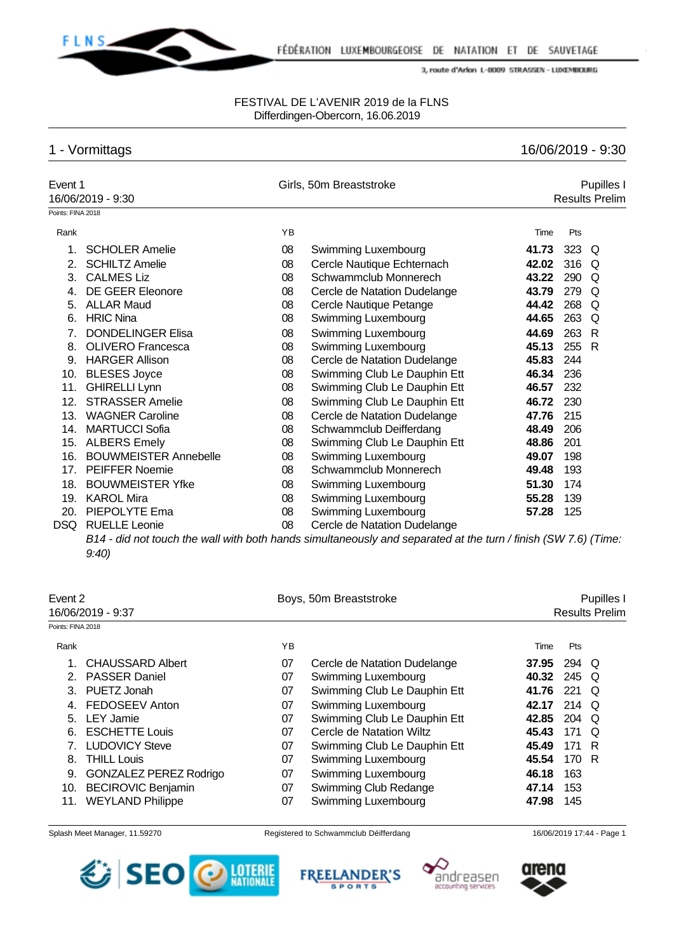

### FESTIVAL DE L'AVENIR 2019 de la FLNS Differdingen-Obercorn, 16.06.2019

# 1 - Vormittags 16/06/2019 - 9:30

|                   | Event 1<br>16/06/2019 - 9:30 |    | Girls, 50m Breaststroke                                                                                          |       | Pupilles I<br><b>Results Prelim</b> |    |  |  |
|-------------------|------------------------------|----|------------------------------------------------------------------------------------------------------------------|-------|-------------------------------------|----|--|--|
| Points: FINA 2018 |                              |    |                                                                                                                  |       |                                     |    |  |  |
| Rank              |                              | YB |                                                                                                                  | Time  | Pts                                 |    |  |  |
| $1_{-}$           | <b>SCHOLER Amelie</b>        | 08 | Swimming Luxembourg                                                                                              | 41.73 | $323$ Q                             |    |  |  |
| 2.                | <b>SCHILTZ Amelie</b>        | 08 | Cercle Nautique Echternach                                                                                       | 42.02 | 316 Q                               |    |  |  |
| 3.                | <b>CALMES Liz</b>            | 08 | Schwammclub Monnerech                                                                                            | 43.22 | 290                                 | Q  |  |  |
| 4.                | <b>DE GEER Eleonore</b>      | 08 | Cercle de Natation Dudelange                                                                                     | 43.79 | 279                                 | Q  |  |  |
| 5.                | <b>ALLAR Maud</b>            | 08 | Cercle Nautique Petange                                                                                          | 44.42 | 268 Q                               |    |  |  |
| 6.                | <b>HRIC Nina</b>             | 08 | Swimming Luxembourg                                                                                              | 44.65 | 263                                 | Q  |  |  |
| 7.                | <b>DONDELINGER Elisa</b>     | 08 | Swimming Luxembourg                                                                                              | 44.69 | 263                                 | -R |  |  |
| 8.                | <b>OLIVERO Francesca</b>     | 08 | Swimming Luxembourg                                                                                              | 45.13 | 255                                 | R  |  |  |
| 9.                | <b>HARGER Allison</b>        | 08 | Cercle de Natation Dudelange                                                                                     | 45.83 | 244                                 |    |  |  |
| 10.               | <b>BLESES Joyce</b>          | 08 | Swimming Club Le Dauphin Ett                                                                                     | 46.34 | 236                                 |    |  |  |
| 11.               | <b>GHIRELLI Lynn</b>         | 08 | Swimming Club Le Dauphin Ett                                                                                     | 46.57 | 232                                 |    |  |  |
| 12.               | <b>STRASSER Amelie</b>       | 08 | Swimming Club Le Dauphin Ett                                                                                     | 46.72 | 230                                 |    |  |  |
| 13.               | <b>WAGNER Caroline</b>       | 08 | Cercle de Natation Dudelange                                                                                     | 47.76 | 215                                 |    |  |  |
| 14.               | <b>MARTUCCI Sofia</b>        | 08 | Schwammclub Deifferdang                                                                                          | 48.49 | 206                                 |    |  |  |
| 15.               | <b>ALBERS Emely</b>          | 08 | Swimming Club Le Dauphin Ett                                                                                     | 48.86 | 201                                 |    |  |  |
| 16.               | <b>BOUWMEISTER Annebelle</b> | 08 | Swimming Luxembourg                                                                                              | 49.07 | 198                                 |    |  |  |
| 17.               | <b>PEIFFER Noemie</b>        | 08 | Schwammclub Monnerech                                                                                            | 49.48 | 193                                 |    |  |  |
| 18.               | <b>BOUWMEISTER Yfke</b>      | 08 | Swimming Luxembourg                                                                                              | 51.30 | 174                                 |    |  |  |
| 19.               | <b>KAROL Mira</b>            | 08 | Swimming Luxembourg                                                                                              | 55.28 | 139                                 |    |  |  |
| 20.               | PIEPOLYTE Ema                | 08 | Swimming Luxembourg                                                                                              | 57.28 | 125                                 |    |  |  |
| <b>DSQ</b>        | <b>RUELLE Leonie</b>         | 08 | Cercle de Natation Dudelange                                                                                     |       |                                     |    |  |  |
|                   |                              |    | $R14$ , did not touch the wall with both bands simultaneously and senarated at the turn (finish (SM/ 7.6) (Time: |       |                                     |    |  |  |

*B14 - did not touch the wall with both hands simultaneously and separated at the turn / finish (SW 7.6) (Time: 9:40)*

| Event 2<br>16/06/2019 - 9:37 |                               |    | Boys, 50m Breaststroke       | Pupilles I<br><b>Results Prelim</b> |       |   |  |  |  |
|------------------------------|-------------------------------|----|------------------------------|-------------------------------------|-------|---|--|--|--|
| Points: FINA 2018            |                               |    |                              |                                     |       |   |  |  |  |
| Rank                         |                               | ΥB |                              | Time                                | Pts   |   |  |  |  |
|                              | <b>CHAUSSARD Albert</b>       | 07 | Cercle de Natation Dudelange | 37.95                               | 294 Q |   |  |  |  |
| 2.                           | <b>PASSER Daniel</b>          | 07 | Swimming Luxembourg          | 40.32                               | 245 Q |   |  |  |  |
| 3.                           | PUETZ Jonah                   | 07 | Swimming Club Le Dauphin Ett | 41.76                               | 221   | O |  |  |  |
|                              | FEDOSEEV Anton                | 07 | Swimming Luxembourg          | 42.17                               | 214 Q |   |  |  |  |
| 5.                           | <b>LEY Jamie</b>              | 07 | Swimming Club Le Dauphin Ett | 42.85                               | 204 Q |   |  |  |  |
| 6.                           | <b>ESCHETTE Louis</b>         | 07 | Cercle de Natation Wiltz     | 45.43                               | 171   | O |  |  |  |
|                              | <b>LUDOVICY Steve</b>         | 07 | Swimming Club Le Dauphin Ett | 45.49                               | 171 R |   |  |  |  |
| 8.                           | <b>THILL Louis</b>            | 07 | Swimming Luxembourg          | 45.54                               | 170 R |   |  |  |  |
| 9.                           | <b>GONZALEZ PEREZ Rodrigo</b> | 07 | Swimming Luxembourg          | 46.18                               | 163   |   |  |  |  |
| 10.                          | <b>BECIROVIC Benjamin</b>     | 07 | Swimming Club Redange        | 47.14                               | 153   |   |  |  |  |
| 11.                          | <b>WEYLAND Philippe</b>       | 07 | Swimming Luxembourg          | 47.98                               | 145   |   |  |  |  |







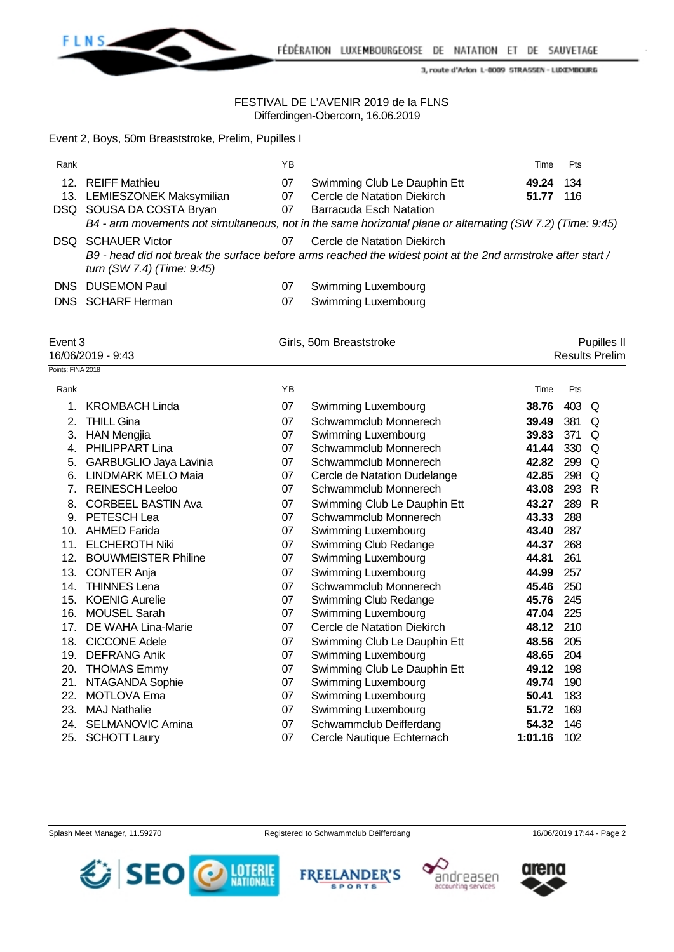

|                           | Event 2, Boys, 50m Breaststroke, Prelim, Pupilles I                          |                |                                                                                                                                                                                                             |                |            |                                      |
|---------------------------|------------------------------------------------------------------------------|----------------|-------------------------------------------------------------------------------------------------------------------------------------------------------------------------------------------------------------|----------------|------------|--------------------------------------|
| Rank                      |                                                                              | YB             |                                                                                                                                                                                                             | Time           | Pts        |                                      |
|                           | 12. REIFF Mathieu<br>13. LEMIESZONEK Maksymilian<br>DSQ SOUSA DA COSTA Bryan | 07<br>07<br>07 | Swimming Club Le Dauphin Ett<br>Cercle de Natation Diekirch<br><b>Barracuda Esch Natation</b><br>B4 - arm movements not simultaneous, not in the same horizontal plane or alternating (SW 7.2) (Time: 9:45) | 49.24<br>51.77 | 134<br>116 |                                      |
|                           | <b>DSQ SCHAUER Victor</b><br>turn (SW 7.4) (Time: 9:45)                      | 07             | Cercle de Natation Diekirch<br>B9 - head did not break the surface before arms reached the widest point at the 2nd armstroke after start /                                                                  |                |            |                                      |
|                           | DNS DUSEMON Paul<br>DNS SCHARF Herman                                        | 07<br>07       | <b>Swimming Luxembourg</b><br>Swimming Luxembourg                                                                                                                                                           |                |            |                                      |
| Event 3                   | 16/06/2019 - 9:43                                                            |                | Girls, 50m Breaststroke                                                                                                                                                                                     |                |            | Pupilles II<br><b>Results Prelim</b> |
| Points: FINA 2018<br>Rank |                                                                              | YB             |                                                                                                                                                                                                             | Time           | Pts        |                                      |
|                           | <b>KROMBACH Linda</b>                                                        |                |                                                                                                                                                                                                             |                |            |                                      |
| 1.<br>2.                  |                                                                              | 07             | Swimming Luxembourg<br>Schwammclub Monnerech                                                                                                                                                                | 38.76          | 403        | Q                                    |
|                           | <b>THILL Gina</b><br>3. HAN Mengjia                                          | 07<br>07       | Swimming Luxembourg                                                                                                                                                                                         | 39.49<br>39.83 | 381<br>371 | Q<br>Q                               |
|                           | 4. PHILIPPART Lina                                                           | 07             | Schwammclub Monnerech                                                                                                                                                                                       | 41.44          | 330        | Q                                    |
|                           | 5. GARBUGLIO Jaya Lavinia                                                    | 07             | Schwammclub Monnerech                                                                                                                                                                                       | 42.82          | 299        | Q                                    |
|                           | 6. LINDMARK MELO Maia                                                        | 07             | Cercle de Natation Dudelange                                                                                                                                                                                | 42.85          | 298        | Q                                    |
|                           | 7. REINESCH Leeloo                                                           | 07             | Schwammclub Monnerech                                                                                                                                                                                       | 43.08          | 293        | $\mathsf{R}$                         |
| 8.                        | <b>CORBEEL BASTIN Ava</b>                                                    | 07             | Swimming Club Le Dauphin Ett                                                                                                                                                                                | 43.27          | 289        | R                                    |
|                           | 9. PETESCH Lea                                                               | 07             | Schwammclub Monnerech                                                                                                                                                                                       | 43.33          | 288        |                                      |
|                           | 10. AHMED Farida                                                             | 07             | Swimming Luxembourg                                                                                                                                                                                         | 43.40          | 287        |                                      |
| 11.                       | <b>ELCHEROTH Niki</b>                                                        | 07             | Swimming Club Redange                                                                                                                                                                                       | 44.37          | 268        |                                      |
|                           | 12. BOUWMEISTER Philine                                                      | 07             | Swimming Luxembourg                                                                                                                                                                                         | 44.81          | 261        |                                      |
| 13.                       | <b>CONTER Anja</b>                                                           | 07             | Swimming Luxembourg                                                                                                                                                                                         | 44.99          | 257        |                                      |
| 14.                       | <b>THINNES Lena</b>                                                          | 07             | Schwammclub Monnerech                                                                                                                                                                                       | 45.46          | 250        |                                      |
|                           | 15. KOENIG Aurelie                                                           | 07             | Swimming Club Redange                                                                                                                                                                                       | 45.76          | 245        |                                      |
| 16.                       | <b>MOUSEL Sarah</b>                                                          | 07             | Swimming Luxembourg                                                                                                                                                                                         | 47.04          | 225        |                                      |
|                           | 17. DE WAHA Lina-Marie                                                       | 07             | Cercle de Natation Diekirch                                                                                                                                                                                 | 48.12          | 210        |                                      |
| 18.                       | <b>CICCONE Adele</b>                                                         | 07             | Swimming Club Le Dauphin Ett                                                                                                                                                                                | 48.56          | 205        |                                      |
| 19.                       | <b>DEFRANG Anik</b>                                                          | 07             | Swimming Luxembourg                                                                                                                                                                                         | 48.65          | 204        |                                      |
| 20.                       | <b>THOMAS Emmy</b>                                                           | 07             | Swimming Club Le Dauphin Ett                                                                                                                                                                                | 49.12          | 198        |                                      |
| 21.                       | NTAGANDA Sophie                                                              | 07             | Swimming Luxembourg                                                                                                                                                                                         | 49.74          | 190        |                                      |
| 22.                       | <b>MOTLOVA Ema</b>                                                           | 07             | Swimming Luxembourg                                                                                                                                                                                         | 50.41          | 183        |                                      |
| 23.                       | <b>MAJ Nathalie</b>                                                          | 07             | Swimming Luxembourg                                                                                                                                                                                         | 51.72          | 169        |                                      |
| 24.                       | <b>SELMANOVIC Amina</b>                                                      | 07             | Schwammclub Deifferdang                                                                                                                                                                                     | 54.32          | 146        |                                      |
| 25.                       | <b>SCHOTT Laury</b>                                                          | 07             | Cercle Nautique Echternach                                                                                                                                                                                  | 1:01.16        | 102        |                                      |





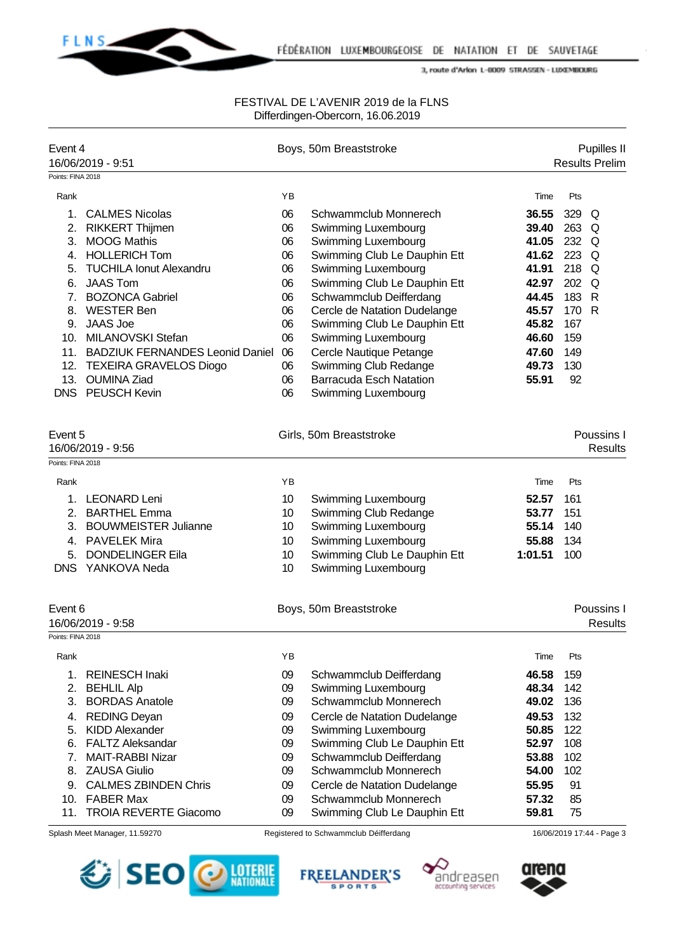

| Event 4           | 16/06/2019 - 9:51                           |          | Boys, 50m Breaststroke                              |         | <b>Results Prelim</b>     | Pupilles II                  |
|-------------------|---------------------------------------------|----------|-----------------------------------------------------|---------|---------------------------|------------------------------|
| Points: FINA 2018 |                                             |          |                                                     |         |                           |                              |
| Rank              |                                             | YB       |                                                     | Time    | Pts                       |                              |
| 1.                | <b>CALMES Nicolas</b>                       | 06       | Schwammclub Monnerech                               | 36.55   | 329                       |                              |
| 2.                | RIKKERT Thijmen                             | 06       | Swimming Luxembourg                                 | 39.40   | Q<br>263 Q                |                              |
| 3.                | <b>MOOG Mathis</b>                          | 06       | Swimming Luxembourg                                 | 41.05   | 232 Q                     |                              |
| 4.                | <b>HOLLERICH Tom</b>                        | 06       | Swimming Club Le Dauphin Ett                        | 41.62   | 223 Q                     |                              |
| 5.                | <b>TUCHILA Ionut Alexandru</b>              | 06       | Swimming Luxembourg                                 | 41.91   | 218 Q                     |                              |
| 6.                | <b>JAAS Tom</b>                             | 06       | Swimming Club Le Dauphin Ett                        | 42.97   | 202 Q                     |                              |
| 7 <sub>1</sub>    | <b>BOZONCA Gabriel</b>                      | 06       | Schwammclub Deifferdang                             | 44.45   | 183 R                     |                              |
| 8.                | <b>WESTER Ben</b>                           | 06       | Cercle de Natation Dudelange                        | 45.57   | 170<br>$\mathsf{R}$       |                              |
| 9.                | <b>JAAS Joe</b>                             | 06       | Swimming Club Le Dauphin Ett                        | 45.82   | 167                       |                              |
|                   | 10. MILANOVSKI Stefan                       | 06       | Swimming Luxembourg                                 | 46.60   | 159                       |                              |
|                   | 11. BADZIUK FERNANDES Leonid Daniel         | 06       | Cercle Nautique Petange                             | 47.60   | 149                       |                              |
|                   | 12. TEXEIRA GRAVELOS Diogo                  | 06       | Swimming Club Redange                               | 49.73   | 130                       |                              |
|                   | 13. OUMINA Ziad                             | 06       | <b>Barracuda Esch Natation</b>                      | 55.91   | 92                        |                              |
| <b>DNS</b>        | <b>PEUSCH Kevin</b>                         | 06       | Swimming Luxembourg                                 |         |                           |                              |
| Event 5           | 16/06/2019 - 9:56                           |          | Girls, 50m Breaststroke                             |         |                           | Poussins I<br><b>Results</b> |
| Points: FINA 2018 |                                             |          |                                                     |         |                           |                              |
|                   |                                             |          |                                                     |         |                           |                              |
| Rank              |                                             | YB       |                                                     | Time    | Pts                       |                              |
| 1.                | <b>LEONARD Leni</b>                         | 10       | Swimming Luxembourg                                 | 52.57   | 161                       |                              |
| 2 <sub>1</sub>    | <b>BARTHEL Emma</b>                         | 10       | Swimming Club Redange                               | 53.77   | 151                       |                              |
| 3.                | <b>BOUWMEISTER Julianne</b>                 | 10       | Swimming Luxembourg                                 | 55.14   | 140                       |                              |
| 4.                | <b>PAVELEK Mira</b>                         | 10       | Swimming Luxembourg                                 | 55.88   | 134                       |                              |
| 5.                | <b>DONDELINGER Eila</b><br>DNS YANKOVA Neda | 10<br>10 | Swimming Club Le Dauphin Ett<br>Swimming Luxembourg | 1:01.51 | 100                       |                              |
|                   |                                             |          |                                                     |         |                           |                              |
| Event 6           |                                             |          | Boys, 50m Breaststroke                              |         |                           | Poussins I                   |
| Points: FINA 2018 | 16/06/2019 - 9:58                           |          |                                                     |         |                           | <b>Results</b>               |
| Rank              |                                             | YB       |                                                     | Time    | Pts                       |                              |
| 1.                | <b>REINESCH Inaki</b>                       | 09       | Schwammclub Deifferdang                             | 46.58   | 159                       |                              |
| 2.                | <b>BEHLIL Alp</b>                           | 09       | Swimming Luxembourg                                 | 48.34   | 142                       |                              |
| 3.                | <b>BORDAS Anatole</b>                       | 09       | Schwammclub Monnerech                               | 49.02   | 136                       |                              |
| 4.                | <b>REDING Deyan</b>                         | 09       | Cercle de Natation Dudelange                        | 49.53   | 132                       |                              |
| 5.                | <b>KIDD Alexander</b>                       | 09       | Swimming Luxembourg                                 | 50.85   | 122                       |                              |
| 6.                | <b>FALTZ Aleksandar</b>                     | 09       | Swimming Club Le Dauphin Ett                        | 52.97   | 108                       |                              |
| 7.                | <b>MAIT-RABBI Nizar</b>                     | 09       | Schwammclub Deifferdang                             | 53.88   | 102                       |                              |
| 8.                | <b>ZAUSA Giulio</b>                         | 09       | Schwammclub Monnerech                               | 54.00   | 102                       |                              |
| 9.                | <b>CALMES ZBINDEN Chris</b>                 | 09       | Cercle de Natation Dudelange                        | 55.95   | 91                        |                              |
| 10.               | <b>FABER Max</b>                            | 09       | Schwammclub Monnerech                               | 57.32   | 85                        |                              |
| 11.               | <b>TROIA REVERTE Giacomo</b>                | 09       | Swimming Club Le Dauphin Ett                        | 59.81   | 75                        |                              |
|                   | Splash Meet Manager, 11.59270               |          | Registered to Schwammclub Déifferdang               |         | 16/06/2019 17:44 - Page 3 |                              |







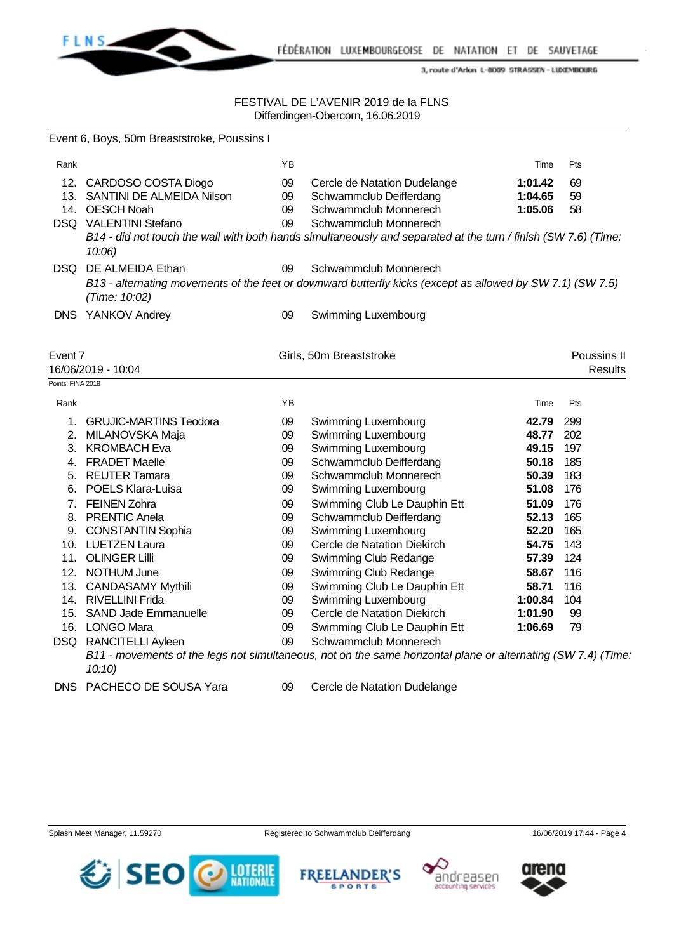

|                   | Event 6, Boys, 50m Breaststroke, Poussins I                                |                |                                                                                                                                         |                               |                               |
|-------------------|----------------------------------------------------------------------------|----------------|-----------------------------------------------------------------------------------------------------------------------------------------|-------------------------------|-------------------------------|
| Rank              |                                                                            | YB             |                                                                                                                                         | Time                          | Pts                           |
|                   | 12. CARDOSO COSTA Diogo<br>13. SANTINI DE ALMEIDA Nilson<br>14. OESCH Noah | 09<br>09<br>09 | Cercle de Natation Dudelange<br>Schwammclub Deifferdang<br>Schwammclub Monnerech                                                        | 1:01.42<br>1:04.65<br>1:05.06 | 69<br>59<br>58                |
|                   | DSQ VALENTINI Stefano<br>$10:06$ )                                         | 09             | Schwammclub Monnerech<br>B14 - did not touch the wall with both hands simultaneously and separated at the turn / finish (SW 7.6) (Time: |                               |                               |
|                   | DSQ DE ALMEIDA Ethan                                                       | 09             | Schwammclub Monnerech                                                                                                                   |                               |                               |
|                   | (Time: 10:02)                                                              |                | B13 - alternating movements of the feet or downward butterfly kicks (except as allowed by SW 7.1) (SW 7.5)                              |                               |                               |
|                   | DNS YANKOV Andrey                                                          | 09             | Swimming Luxembourg                                                                                                                     |                               |                               |
| Event 7           | 16/06/2019 - 10:04                                                         |                | Girls, 50m Breaststroke                                                                                                                 |                               | Poussins II<br><b>Results</b> |
| Points: FINA 2018 |                                                                            |                |                                                                                                                                         |                               |                               |
| Rank              |                                                                            | ΥB             |                                                                                                                                         | Time                          | Pts                           |
| 1.                | <b>GRUJIC-MARTINS Teodora</b>                                              | 09             | Swimming Luxembourg                                                                                                                     | 42.79                         | 299                           |
|                   | 2. MILANOVSKA Maja                                                         | 09             | Swimming Luxembourg                                                                                                                     | 48.77                         | 202                           |
|                   | 3. KROMBACH Eva                                                            | 09             | Swimming Luxembourg                                                                                                                     | 49.15                         | 197                           |
|                   | 4. FRADET Maelle                                                           | 09             | Schwammclub Deifferdang                                                                                                                 | 50.18                         | 185                           |
|                   | 5. REUTER Tamara                                                           | 09             | Schwammclub Monnerech                                                                                                                   | 50.39                         | 183                           |
|                   | 6. POELS Klara-Luisa                                                       | 09             | Swimming Luxembourg                                                                                                                     | 51.08                         | 176                           |
|                   | 7. FEINEN Zohra                                                            | 09             | Swimming Club Le Dauphin Ett                                                                                                            | 51.09                         | 176                           |
|                   | 8. PRENTIC Anela                                                           | 09             | Schwammclub Deifferdang                                                                                                                 | 52.13                         | 165                           |
|                   | 9. CONSTANTIN Sophia                                                       | 09             | Swimming Luxembourg                                                                                                                     | 52.20                         | 165                           |
|                   | 10. LUETZEN Laura                                                          | 09             | Cercle de Natation Diekirch                                                                                                             | 54.75                         | 143                           |
|                   | 11. OLINGER Lilli                                                          | 09             | Swimming Club Redange                                                                                                                   | 57.39                         | 124                           |
|                   | 12. NOTHUM June                                                            | 09             | Swimming Club Redange                                                                                                                   | 58.67                         | 116                           |
|                   | 13. CANDASAMY Mythili                                                      | 09             | Swimming Club Le Dauphin Ett                                                                                                            | 58.71                         | 116                           |
|                   | 14. RIVELLINI Frida                                                        | 09             | Swimming Luxembourg                                                                                                                     | 1:00.84                       | 104                           |
|                   | 15. SAND Jade Emmanuelle                                                   | 09             | Cercle de Natation Diekirch                                                                                                             | 1:01.90                       | 99                            |
|                   | 16. LONGO Mara                                                             | 09             | Swimming Club Le Dauphin Ett                                                                                                            | 1:06.69                       | 79                            |
|                   | DSQ RANCITELLI Ayleen                                                      | 09             | Schwammclub Monnerech                                                                                                                   |                               |                               |
|                   | 10:10                                                                      |                | B11 - movements of the legs not simultaneous, not on the same horizontal plane or alternating (SW 7.4) (Time.                           |                               |                               |
| <b>DNS</b>        | PACHECO DE SOUSA Yara                                                      | 09             | Cercle de Natation Dudelange                                                                                                            |                               |                               |







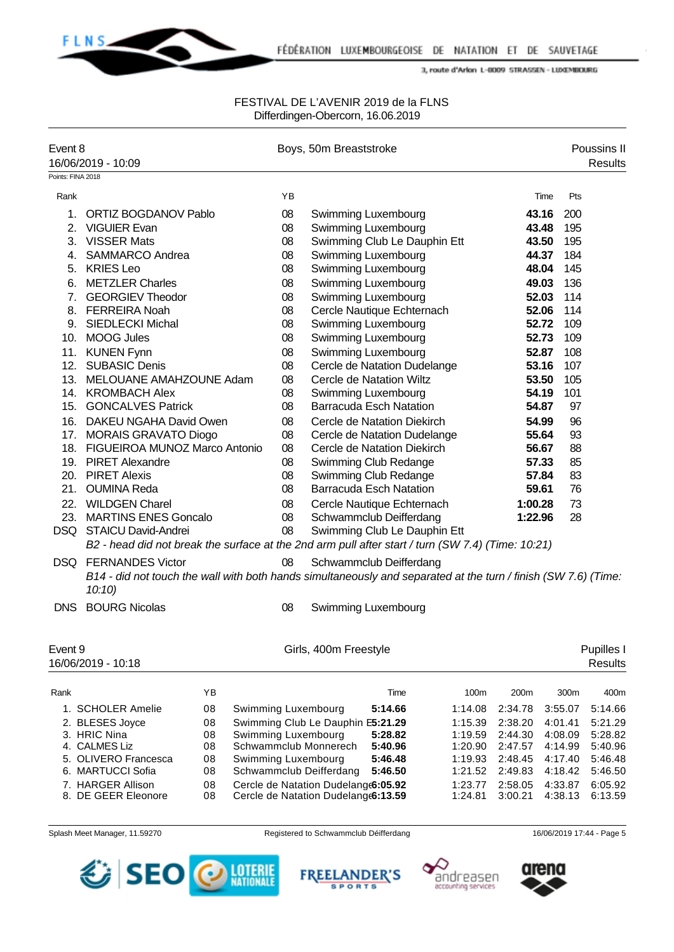

### FESTIVAL DE L'AVENIR 2019 de la FLNS Differdingen-Obercorn, 16.06.2019

| Event 8           | 16/06/2019 - 10:09                                                                                                                                     |          |                     |          | Boys, 50m Breaststroke                                         |                                                            |                    |                    |                       | Poussins II<br><b>Results</b> |
|-------------------|--------------------------------------------------------------------------------------------------------------------------------------------------------|----------|---------------------|----------|----------------------------------------------------------------|------------------------------------------------------------|--------------------|--------------------|-----------------------|-------------------------------|
| Points: FINA 2018 |                                                                                                                                                        |          |                     |          |                                                                |                                                            |                    |                    |                       |                               |
| Rank              |                                                                                                                                                        |          |                     | ΥB       |                                                                |                                                            |                    |                    | Pts<br>Time           |                               |
| 1.                | <b>ORTIZ BOGDANOV Pablo</b>                                                                                                                            |          |                     | 08       |                                                                | <b>Swimming Luxembourg</b>                                 |                    |                    | 43.16<br>200          |                               |
| 2.                | <b>VIGUIER Evan</b>                                                                                                                                    |          |                     | 08       |                                                                | <b>Swimming Luxembourg</b>                                 |                    |                    | 43.48<br>195          |                               |
| 3.                | <b>VISSER Mats</b>                                                                                                                                     |          |                     | 08       |                                                                | Swimming Club Le Dauphin Ett                               |                    |                    | 195<br>43.50          |                               |
| 4.                | <b>SAMMARCO Andrea</b>                                                                                                                                 |          |                     | 08       |                                                                | Swimming Luxembourg                                        |                    |                    | 184<br>44.37          |                               |
|                   | 5. KRIES Leo                                                                                                                                           |          |                     | 08       |                                                                | Swimming Luxembourg                                        |                    |                    | 145<br>48.04          |                               |
| 6.                | <b>METZLER Charles</b>                                                                                                                                 |          |                     | 08       |                                                                | Swimming Luxembourg                                        |                    |                    | 136<br>49.03          |                               |
| 7.                | <b>GEORGIEV Theodor</b>                                                                                                                                |          |                     | 08       |                                                                | Swimming Luxembourg                                        |                    |                    | 114<br>52.03          |                               |
| 8.                | <b>FERREIRA Noah</b>                                                                                                                                   |          |                     | 08       |                                                                | Cercle Nautique Echternach                                 |                    |                    | 52.06<br>114          |                               |
| 9.                | <b>SIEDLECKI Michal</b>                                                                                                                                |          |                     | 08       |                                                                | Swimming Luxembourg                                        |                    |                    | 52.72<br>109          |                               |
| 10.               | <b>MOOG Jules</b><br><b>KUNEN Fynn</b>                                                                                                                 |          |                     | 08       |                                                                | Swimming Luxembourg                                        |                    |                    | 52.73<br>109<br>108   |                               |
| 11.               | <b>SUBASIC Denis</b>                                                                                                                                   |          |                     | 08       |                                                                | <b>Swimming Luxembourg</b><br>Cercle de Natation Dudelange |                    |                    | 52.87<br>107          |                               |
| 12.<br>13.        | MELOUANE AMAHZOUNE Adam                                                                                                                                |          |                     | 08<br>08 |                                                                | Cercle de Natation Wiltz                                   |                    |                    | 53.16<br>53.50<br>105 |                               |
| 14.               | <b>KROMBACH Alex</b>                                                                                                                                   |          |                     | 08       |                                                                | Swimming Luxembourg                                        |                    |                    | 54.19<br>101          |                               |
| 15.               | <b>GONCALVES Patrick</b>                                                                                                                               |          |                     | 08       |                                                                | <b>Barracuda Esch Natation</b>                             |                    |                    | 54.87<br>97           |                               |
|                   | 16. DAKEU NGAHA David Owen                                                                                                                             |          |                     | 08       |                                                                | Cercle de Natation Diekirch                                |                    |                    | 54.99<br>96           |                               |
| 17.               | <b>MORAIS GRAVATO Diogo</b>                                                                                                                            |          |                     | 08       |                                                                | Cercle de Natation Dudelange                               |                    |                    | 93<br>55.64           |                               |
| 18.               | FIGUEIROA MUNOZ Marco Antonio                                                                                                                          |          |                     | 08       |                                                                | Cercle de Natation Diekirch                                |                    |                    | 56.67<br>88           |                               |
| 19.               | <b>PIRET Alexandre</b>                                                                                                                                 |          |                     | 08       |                                                                | Swimming Club Redange                                      |                    |                    | 57.33<br>85           |                               |
|                   | 20. PIRET Alexis                                                                                                                                       |          |                     | 08       |                                                                | Swimming Club Redange                                      |                    |                    | 83<br>57.84           |                               |
| 21.               | <b>OUMINA Reda</b>                                                                                                                                     |          |                     | 08       |                                                                | <b>Barracuda Esch Natation</b>                             |                    |                    | 76<br>59.61           |                               |
|                   | 22. WILDGEN Charel                                                                                                                                     |          |                     | 08       |                                                                | Cercle Nautique Echternach                                 |                    | 1:00.28            | 73                    |                               |
|                   | 23. MARTINS ENES Goncalo                                                                                                                               |          |                     | 08       |                                                                | Schwammclub Deifferdang                                    |                    | 1:22.96            | 28                    |                               |
|                   | DSQ STAICU David-Andrei                                                                                                                                |          |                     | 08       |                                                                | Swimming Club Le Dauphin Ett                               |                    |                    |                       |                               |
|                   | B2 - head did not break the surface at the 2nd arm pull after start / turn (SW 7.4) (Time: 10:21)                                                      |          |                     |          |                                                                |                                                            |                    |                    |                       |                               |
|                   | <b>DSQ FERNANDES Victor</b><br>B14 - did not touch the wall with both hands simultaneously and separated at the turn / finish (SW 7.6) (Time:<br>10:10 |          |                     | 08       |                                                                | Schwammclub Deifferdang                                    |                    |                    |                       |                               |
| DNS.              | <b>BOURG Nicolas</b>                                                                                                                                   |          |                     | 08       |                                                                | Swimming Luxembourg                                        |                    |                    |                       |                               |
| Event 9           | 16/06/2019 - 10:18                                                                                                                                     |          |                     |          | Girls, 400m Freestyle                                          |                                                            |                    |                    |                       | Pupilles I<br><b>Results</b>  |
| Rank              |                                                                                                                                                        | YB       |                     |          |                                                                | Time                                                       | 100m               | 200m               | 300m                  | 400m                          |
|                   | 1. SCHOLER Amelie                                                                                                                                      | 08       | Swimming Luxembourg |          |                                                                | 5:14.66                                                    | 1:14.08            | 2:34.78            | 3:55.07               | 5:14.66                       |
|                   | 2. BLESES Joyce                                                                                                                                        | 08       |                     |          | Swimming Club Le Dauphin E5:21.29                              |                                                            | 1:15.39            | 2:38.20            | 4:01.41               | 5:21.29                       |
|                   | 3. HRIC Nina                                                                                                                                           | 08       | Swimming Luxembourg |          |                                                                | 5:28.82                                                    | 1:19.59            | 2:44.30            | 4:08.09               | 5:28.82                       |
|                   | 4. CALMES Liz                                                                                                                                          | 08       |                     |          | Schwammclub Monnerech                                          | 5:40.96                                                    | 1:20.90            | 2:47.57            | 4:14.99               | 5:40.96                       |
|                   | 5. OLIVERO Francesca                                                                                                                                   | 08       | Swimming Luxembourg |          |                                                                | 5:46.48                                                    | 1:19.93            | 2:48.45            | 4:17.40               | 5:46.48                       |
|                   | 6. MARTUCCI Sofia<br>7. HARGER Allison                                                                                                                 | 08<br>08 |                     |          | Schwammclub Deifferdang<br>Cercle de Natation Dudelange6:05.92 | 5:46.50                                                    | 1:21.52<br>1:23.77 | 2:49.83<br>2:58.05 | 4:18.42<br>4:33.87    | 5:46.50<br>6:05.92            |
|                   | 8. DE GEER Eleonore                                                                                                                                    | 08       |                     |          | Cercle de Natation Dudelange6:13.59                            |                                                            | 1:24.81            | 3:00.21            | 4:38.13               | 6:13.59                       |







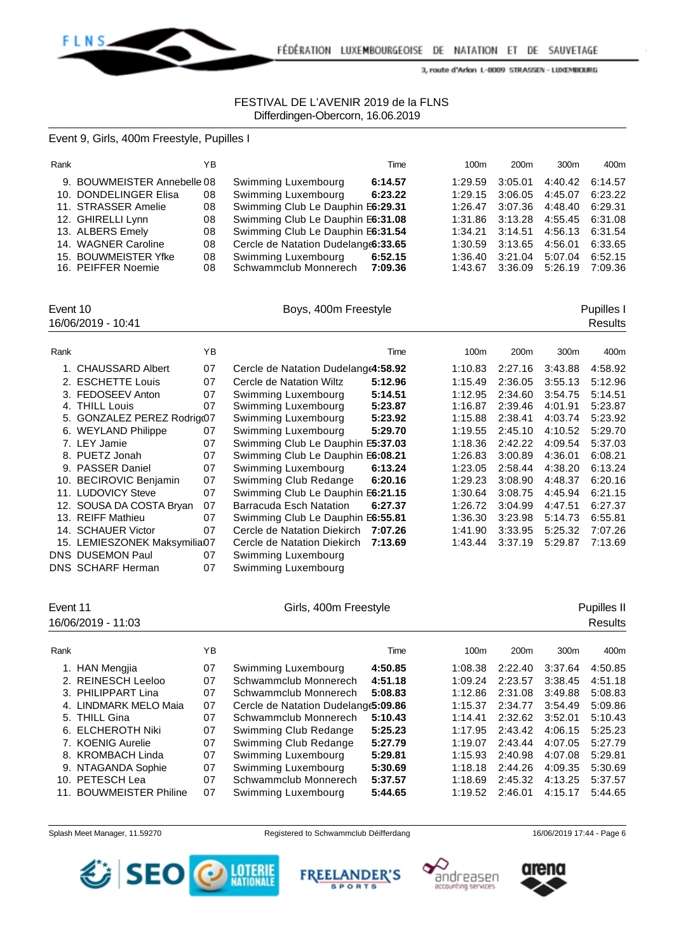

## FESTIVAL DE L'AVENIR 2019 de la FLNS Differdingen-Obercorn, 16.06.2019

Event 9, Girls, 400m Freestyle, Pupilles I

| Rank |                             | YB. |                                     | Time    | 100 <sub>m</sub> | 200 <sub>m</sub> | 300 <sub>m</sub> | 400m    |
|------|-----------------------------|-----|-------------------------------------|---------|------------------|------------------|------------------|---------|
|      | 9. BOUWMEISTER Annebelle 08 |     | Swimming Luxembourg                 | 6:14.57 | 1:29.59          | 3:05.01          | 4:40.42          | 6:14.57 |
|      | 10. DONDELINGER Elisa       | 08  | Swimming Luxembourg                 | 6:23.22 | 1:29.15          | 3:06.05          | 4:45.07          | 6:23.22 |
|      | 11. STRASSER Amelie         | 08  | Swimming Club Le Dauphin E6:29.31   |         | 1:26.47          | 3:07.36          | 4:48.40          | 6:29.31 |
|      | 12. GHIRELLI Lynn           | 08  | Swimming Club Le Dauphin E6:31.08   |         | 1:31.86          | 3:13.28          | 4:55.45          | 6:31.08 |
|      | 13. ALBERS Emely            | 08  | Swimming Club Le Dauphin E6:31.54   |         | 1:34.21          | 3:14.51          | 4:56.13          | 6:31.54 |
|      | 14. WAGNER Caroline         | 08  | Cercle de Natation Dudelange6:33.65 |         | 1:30.59          | 3:13.65          | 4:56.01          | 6:33.65 |
|      | 15. BOUWMEISTER Yfke        | 08  | Swimming Luxembourg                 | 6:52.15 | 1:36.40          | 3:21.04          | 5:07.04          | 6:52.15 |
|      | 16. PEIFFER Noemie          | 08  | Schwammclub Monnerech 7:09.36       |         | 1:43.67          | 3:36.09          | 5:26.19          | 7:09.36 |

16/06/2019 - 10:41 Results

Event 10 **Boys, 400m Freestyle Boys**, 400m Freestyle **Pupilles I** 

| Rank |                              | ΥB |                                     | Time    | 100m    | 200 <sub>m</sub> | 300 <sub>m</sub> | 400m    |
|------|------------------------------|----|-------------------------------------|---------|---------|------------------|------------------|---------|
|      | <b>CHAUSSARD Albert</b>      | 07 | Cercle de Natation Dudelange4:58.92 |         | 1:10.83 | 2:27.16          | 3:43.88          | 4:58.92 |
|      | 2. ESCHETTE Louis            | 07 | Cercle de Natation Wiltz            | 5:12.96 | 1:15.49 | 2:36.05          | 3:55.13          | 5:12.96 |
|      | 3. FEDOSEEV Anton            | 07 | Swimming Luxembourg                 | 5:14.51 | 1:12.95 | 2:34.60          | 3:54.75          | 5:14.51 |
|      | 4. THILL Louis               | 07 | Swimming Luxembourg                 | 5:23.87 | 1:16.87 | 2:39.46          | 4:01.91          | 5:23.87 |
|      | 5. GONZALEZ PEREZ Rodrig@7   |    | Swimming Luxembourg                 | 5:23.92 | 1:15.88 | 2:38.41          | 4:03.74          | 5:23.92 |
|      | 6. WEYLAND Philippe          | 07 | Swimming Luxembourg                 | 5:29.70 | 1:19.55 | 2:45.10          | 4:10.52          | 5:29.70 |
|      | 7. LEY Jamie                 | 07 | Swimming Club Le Dauphin E5:37.03   |         | 1:18.36 | 2:42.22          | 4:09.54          | 5:37.03 |
|      | 8. PUETZ Jonah               | 07 | Swimming Club Le Dauphin E6:08.21   |         | 1:26.83 | 3:00.89          | 4:36.01          | 6:08.21 |
|      | 9. PASSER Daniel             | 07 | Swimming Luxembourg                 | 6:13.24 | 1:23.05 | 2:58.44          | 4:38.20          | 6:13.24 |
|      | 10. BECIROVIC Benjamin       | 07 | Swimming Club Redange               | 6:20.16 | 1:29.23 | 3:08.90          | 4:48.37          | 6:20.16 |
|      | 11. LUDOVICY Steve           | 07 | Swimming Club Le Dauphin E6:21.15   |         | 1:30.64 | 3:08.75          | 4:45.94          | 6:21.15 |
|      | 12. SOUSA DA COSTA Bryan     | 07 | Barracuda Esch Natation             | 6:27.37 | 1:26.72 | 3:04.99          | 4:47.51          | 6:27.37 |
|      | 13. REIFF Mathieu            | 07 | Swimming Club Le Dauphin E6:55.81   |         | 1:36.30 | 3:23.98          | 5:14.73          | 6:55.81 |
|      | 14. SCHAUER Victor           | 07 | Cercle de Natation Diekirch         | 7:07.26 | 1:41.90 | 3:33.95          | 5:25.32          | 7:07.26 |
|      | 15. LEMIESZONEK Maksymilia07 |    | Cercle de Natation Diekirch         | 7:13.69 | 1:43.44 | 3:37.19          | 5:29.87          | 7:13.69 |
|      | DNS DUSEMON Paul             | 07 | Swimming Luxembourg                 |         |         |                  |                  |         |
|      | <b>DNS SCHARF Herman</b>     | 07 | Swimming Luxembourg                 |         |         |                  |                  |         |

| Event 11<br>16/06/2019 - 11:03    |    | Girls, 400m Freestyle               |         | Pupilles II<br><b>Results</b> |                  |                  |         |
|-----------------------------------|----|-------------------------------------|---------|-------------------------------|------------------|------------------|---------|
| Rank                              | ΥB |                                     | Time    | 100m                          | 200 <sub>m</sub> | 300 <sub>m</sub> | 400m    |
| <b>HAN Mengjia</b>                | 07 | Swimming Luxembourg                 | 4:50.85 | 1:08.38                       | 2:22.40          | 3:37.64          | 4:50.85 |
| 2. REINESCH Leeloo                | 07 | Schwammclub Monnerech               | 4:51.18 | 1:09.24                       | 2:23.57          | 3:38.45          | 4:51.18 |
| 3. PHILIPPART Lina                | 07 | Schwammclub Monnerech               | 5:08.83 | 1:12.86                       | 2:31.08          | 3:49.88          | 5:08.83 |
| 4. LINDMARK MELO Maia             | 07 | Cercle de Natation Dudelange5:09.86 |         | 1:15.37                       | 2:34.77          | 3:54.49          | 5:09.86 |
| 5. THILL Gina                     | 07 | Schwammclub Monnerech               | 5:10.43 | 1:14.41                       | 2:32.62          | 3:52.01          | 5:10.43 |
| 6. ELCHEROTH Niki                 | 07 | Swimming Club Redange               | 5:25.23 | 1:17.95                       | 2:43.42          | 4:06.15          | 5:25.23 |
| 7. KOENIG Aurelie                 | 07 | Swimming Club Redange               | 5:27.79 | 1:19.07                       | 2:43.44          | 4:07.05          | 5:27.79 |
| 8. KROMBACH Linda                 | 07 | Swimming Luxembourg                 | 5:29.81 | 1:15.93                       | 2:40.98          | 4:07.08          | 5:29.81 |
| NTAGANDA Sophie<br>9.             | 07 | Swimming Luxembourg                 | 5:30.69 | 1:18.18                       | 2:44.26          | 4:09.35          | 5:30.69 |
| 10. PETESCH Lea                   | 07 | Schwammclub Monnerech               | 5:37.57 | 1:18.69                       | 2:45.32          | 4:13.25          | 5:37.57 |
| <b>BOUWMEISTER Philine</b><br>11. | 07 | Swimming Luxembourg                 | 5:44.65 | 1:19.52                       | 2:46.01          | 4:15.17          | 5:44.65 |









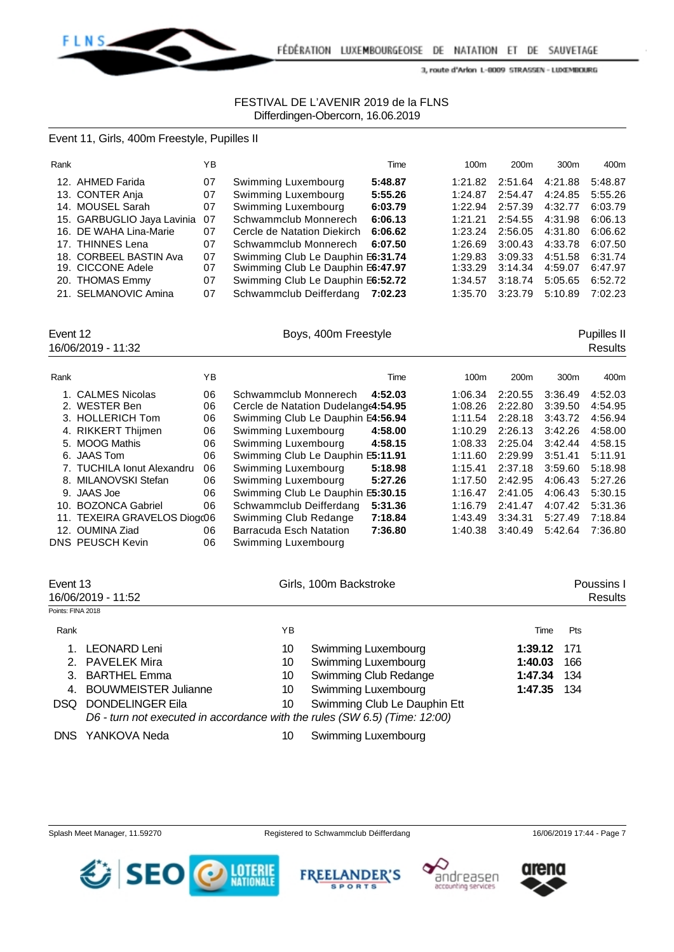

## FESTIVAL DE L'AVENIR 2019 de la FLNS Differdingen-Obercorn, 16.06.2019

### Event 11, Girls, 400m Freestyle, Pupilles II

| Rank |                            | YB |                                   | Time    | 100 <sub>m</sub> | 200 <sub>m</sub> | 300 <sub>m</sub> | 400m    |
|------|----------------------------|----|-----------------------------------|---------|------------------|------------------|------------------|---------|
|      | 12. AHMED Farida           | 07 | Swimming Luxembourg               | 5:48.87 | 1:21.82          | 2:51.64          | 4:21.88          | 5:48.87 |
|      | 13. CONTER Anja            | 07 | Swimming Luxembourg               | 5:55.26 | 1:24.87          | 2:54.47          | 4:24.85          | 5:55.26 |
|      | 14. MOUSEL Sarah           | 07 | Swimming Luxembourg               | 6:03.79 | 1:22.94          | 2:57.39          | 4:32.77          | 6:03.79 |
|      | 15. GARBUGLIO Jaya Lavinia | 07 | Schwammclub Monnerech             | 6:06.13 | 1:21.21          | 2:54.55          | 4:31.98          | 6:06.13 |
|      | 16. DE WAHA Lina-Marie     | 07 | Cercle de Natation Diekirch       | 6:06.62 | 1:23.24          | 2:56.05          | 4:31.80          | 6:06.62 |
|      | 17. THINNES Lena           | 07 | Schwammclub Monnerech             | 6:07.50 | 1:26.69          | 3:00.43          | 4:33.78          | 6:07.50 |
|      | 18. CORBEEL BASTIN Ava     | 07 | Swimming Club Le Dauphin E6:31.74 |         | 1:29.83          | 3:09.33          | 4:51.58          | 6:31.74 |
|      | 19. CICCONE Adele          | 07 | Swimming Club Le Dauphin E6:47.97 |         | 1:33.29          | 3:14.34          | 4:59.07          | 6:47.97 |
|      | 20. THOMAS Emmy            | 07 | Swimming Club Le Dauphin E6:52.72 |         | 1:34.57          | 3:18.74          | 5:05.65          | 6:52.72 |
|      | 21. SELMANOVIC Amina       | 07 | Schwammclub Deifferdang 7:02.23   |         | 1:35.70          | 3:23.79          | 5:10.89          | 7:02.23 |

| Event 12<br>16/06/2019 - 11:32 |                              |    | Boys, 400m Freestyle                |         |         |                  |                  | Pupilles II<br>Results |
|--------------------------------|------------------------------|----|-------------------------------------|---------|---------|------------------|------------------|------------------------|
| Rank                           |                              | YB |                                     | Time    | 100m    | 200 <sub>m</sub> | 300 <sub>m</sub> | 400m                   |
|                                | 1. CALMES Nicolas            | 06 | Schwammclub Monnerech               | 4:52.03 | 1:06.34 | 2:20.55          | 3:36.49          | 4:52.03                |
|                                | 2. WESTER Ben                | 06 | Cercle de Natation Dudelange4:54.95 |         | 1:08.26 | 2:22.80          | 3:39.50          | 4:54.95                |
|                                | 3. HOLLERICH Tom             | 06 | Swimming Club Le Dauphin E4:56.94   |         | 1:11.54 | 2:28.18          | 3:43.72          | 4:56.94                |
|                                | 4. RIKKERT Thijmen           | 06 | Swimming Luxembourg                 | 4:58.00 | 1:10.29 | 2:26.13          | 3:42.26          | 4:58.00                |
|                                | 5. MOOG Mathis               | 06 | Swimming Luxembourg                 | 4:58.15 | 1:08.33 | 2:25.04          | 3:42.44          | 4:58.15                |
|                                | 6. JAAS Tom                  | 06 | Swimming Club Le Dauphin E5:11.91   |         | 1:11.60 | 2:29.99          | 3:51.41          | 5:11.91                |
|                                | 7. TUCHILA Ionut Alexandru   | 06 | Swimming Luxembourg                 | 5:18.98 | 1:15.41 | 2:37.18          | 3:59.60          | 5:18.98                |
|                                | 8. MILANOVSKI Stefan         | 06 | Swimming Luxembourg                 | 5:27.26 | 1:17.50 | 2:42.95          | 4:06.43          | 5:27.26                |
|                                | 9. JAAS Joe                  | 06 | Swimming Club Le Dauphin E5:30.15   |         | 1:16.47 | 2:41.05          | 4:06.43          | 5:30.15                |
| 10.                            | <b>BOZONCA Gabriel</b>       | 06 | Schwammclub Deifferdang             | 5:31.36 | 1:16.79 | 2:41.47          | 4:07.42          | 5:31.36                |
|                                | 11. TEXEIRA GRAVELOS Diogc06 |    | Swimming Club Redange               | 7:18.84 | 1:43.49 | 3:34.31          | 5:27.49          | 7:18.84                |
|                                | 12. OUMINA Ziad              | 06 | Barracuda Esch Natation             | 7:36.80 | 1:40.38 | 3:40.49          | 5:42.64          | 7:36.80                |
|                                | <b>DNS PEUSCH Kevin</b>      | 06 | Swimming Luxembourg                 |         |         |                  |                  |                        |

| Event 13<br>16/06/2019 - 11:52 |                                                                            |    | Girls, 100m Backstroke       |         | Poussins I<br>Results |  |
|--------------------------------|----------------------------------------------------------------------------|----|------------------------------|---------|-----------------------|--|
| Points: FINA 2018              |                                                                            |    |                              |         |                       |  |
| Rank                           |                                                                            | ΥB |                              | Time    | Pts                   |  |
|                                | <b>LEONARD Leni</b>                                                        | 10 | Swimming Luxembourg          | 1:39.12 | 171                   |  |
|                                | 2. PAVELEK Mira                                                            | 10 | Swimming Luxembourg          | 1:40.03 | 166                   |  |
|                                | 3. BARTHEL Emma                                                            | 10 | Swimming Club Redange        | 1:47.34 | 134                   |  |
| 4.                             | <b>BOUWMEISTER Julianne</b>                                                | 10 | Swimming Luxembourg          | 1:47.35 | 134                   |  |
|                                | <b>DSQ DONDELINGER Eila</b>                                                | 10 | Swimming Club Le Dauphin Ett |         |                       |  |
|                                | D6 - turn not executed in accordance with the rules (SW 6.5) (Time: 12:00) |    |                              |         |                       |  |
|                                | DNS YANKOVA Neda                                                           | 10 | Swimming Luxembourg          |         |                       |  |





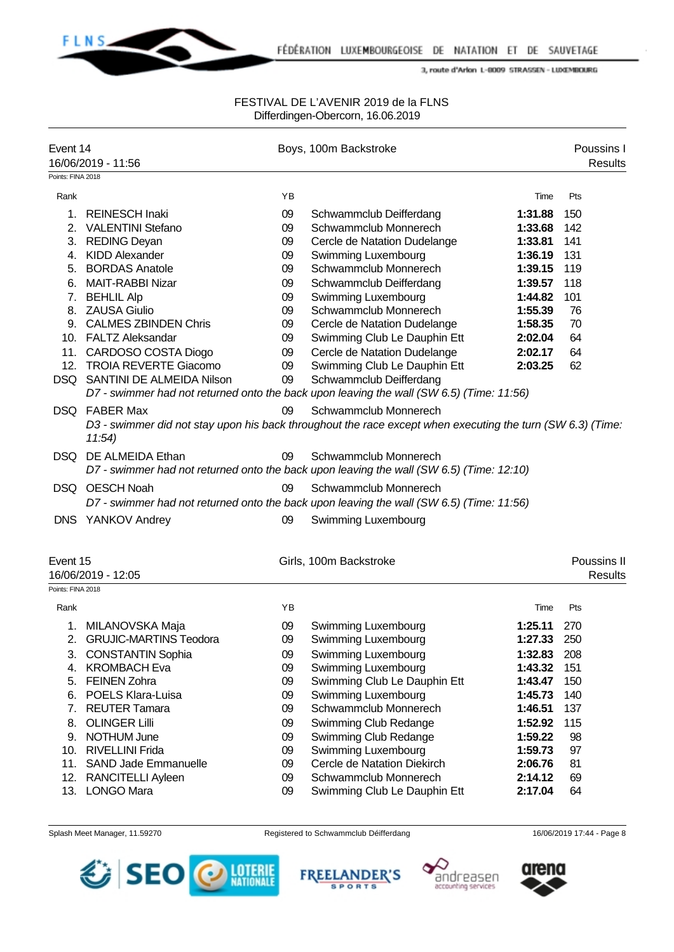

### FESTIVAL DE L'AVENIR 2019 de la FLNS Differdingen-Obercorn, 16.06.2019

| Event 14          | 16/06/2019 - 11:56            |    | Boys, 100m Backstroke                                                                                             |         | Poussins I<br><b>Results</b>  |
|-------------------|-------------------------------|----|-------------------------------------------------------------------------------------------------------------------|---------|-------------------------------|
| Points: FINA 2018 |                               |    |                                                                                                                   |         |                               |
| Rank              |                               | YB |                                                                                                                   | Time    | Pts                           |
| 1.                | <b>REINESCH Inaki</b>         | 09 | Schwammclub Deifferdang                                                                                           | 1:31.88 | 150                           |
| 2.                | <b>VALENTINI Stefano</b>      | 09 | Schwammclub Monnerech                                                                                             | 1:33.68 | 142                           |
|                   | 3. REDING Deyan               | 09 | Cercle de Natation Dudelange                                                                                      | 1:33.81 | 141                           |
|                   | 4. KIDD Alexander             | 09 | Swimming Luxembourg                                                                                               | 1:36.19 | 131                           |
| 5.                | <b>BORDAS Anatole</b>         | 09 | Schwammclub Monnerech                                                                                             | 1:39.15 | 119                           |
|                   | 6. MAIT-RABBI Nizar           | 09 | Schwammclub Deifferdang                                                                                           | 1:39.57 | 118                           |
|                   | 7. BEHLIL Alp                 | 09 | Swimming Luxembourg                                                                                               | 1:44.82 | 101                           |
|                   | 8. ZAUSA Giulio               | 09 | Schwammclub Monnerech                                                                                             | 1:55.39 | 76                            |
|                   | 9. CALMES ZBINDEN Chris       | 09 | Cercle de Natation Dudelange                                                                                      | 1:58.35 | 70                            |
|                   | 10. FALTZ Aleksandar          | 09 | Swimming Club Le Dauphin Ett                                                                                      | 2:02.04 | 64                            |
|                   | 11. CARDOSO COSTA Diogo       | 09 | Cercle de Natation Dudelange                                                                                      | 2:02.17 | 64                            |
| 12.               | <b>TROIA REVERTE Giacomo</b>  | 09 | Swimming Club Le Dauphin Ett                                                                                      | 2:03.25 | 62                            |
|                   | DSQ SANTINI DE ALMEIDA Nilson | 09 | Schwammclub Deifferdang                                                                                           |         |                               |
|                   |                               |    | D7 - swimmer had not returned onto the back upon leaving the wall (SW 6.5) (Time: 11:56)                          |         |                               |
|                   | DSQ FABER Max                 | 09 | Schwammclub Monnerech                                                                                             |         |                               |
|                   | 11:54)                        |    | D3 - swimmer did not stay upon his back throughout the race except when executing the turn (SW 6.3) (Time:        |         |                               |
| DSQ.              | DE ALMEIDA Ethan              | 09 | Schwammclub Monnerech<br>D7 - swimmer had not returned onto the back upon leaving the wall (SW 6.5) (Time: 12:10) |         |                               |
|                   | DSQ OESCH Noah                | 09 | Schwammclub Monnerech                                                                                             |         |                               |
|                   |                               |    | D7 - swimmer had not returned onto the back upon leaving the wall (SW 6.5) (Time: 11:56)                          |         |                               |
|                   | DNS YANKOV Andrey             | 09 | Swimming Luxembourg                                                                                               |         |                               |
|                   |                               |    |                                                                                                                   |         |                               |
| Event 15          | 16/06/2019 - 12:05            |    | Girls, 100m Backstroke                                                                                            |         | Poussins II<br><b>Results</b> |
| Points: FINA 2018 |                               |    |                                                                                                                   |         |                               |
| Rank              |                               | YB |                                                                                                                   | Time    | Pts                           |
|                   | 1. MILANOVSKA Maja            | 09 | Swimming Luxembourg                                                                                               | 1:25.11 | 270                           |
| 2.                | <b>GRUJIC-MARTINS Teodora</b> | 09 | Swimming Luxembourg                                                                                               | 1:27.33 | 250                           |
| 3.                | <b>CONSTANTIN Sophia</b>      | 09 | Swimming Luxembourg                                                                                               | 1:32.83 | 208                           |
| 4.                | <b>KROMBACH Eva</b>           | 09 | Swimming Luxembourg                                                                                               | 1:43.32 | 151                           |
| 5.                | <b>FEINEN Zohra</b>           | 09 | Swimming Club Le Dauphin Ett                                                                                      | 1:43.47 | 150                           |
| 6.                | POELS Klara-Luisa             | 09 | Swimming Luxembourg                                                                                               | 1:45.73 | 140                           |
| 7.                | <b>REUTER Tamara</b>          | 09 | Schwammclub Monnerech                                                                                             | 1:46.51 | 137                           |
| 8.                | <b>OLINGER Lilli</b>          | 09 | Swimming Club Redange                                                                                             | 1:52.92 | 115                           |
| 9.                | NOTHUM June                   | 09 | Swimming Club Redange                                                                                             | 1:59.22 | 98                            |
|                   | 10. RIVELLINI Frida           | 09 | Swimming Luxembourg                                                                                               | 1:59.73 | 97                            |

- 11. SAND Jade Emmanuelle 09 Cercle de Natation Diekirch **2:06.76** 81
- 12. RANCITELLI Ayleen 09 Schwammclub Monnerech **2:14.12** 69
- 13. LONGO Mara 09 Swimming Club Le Dauphin Ett **2:17.04** 64









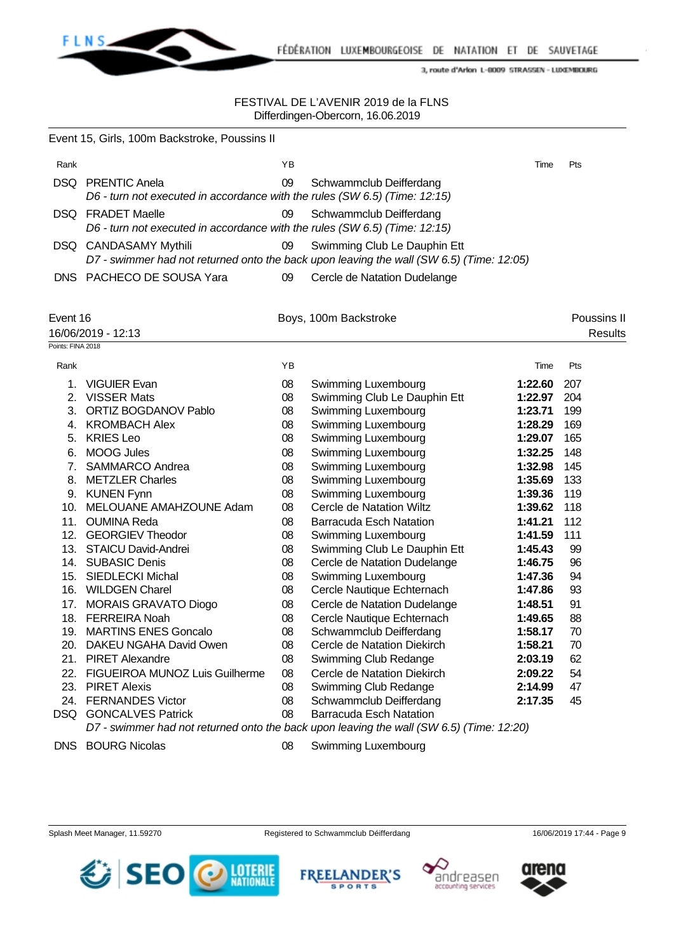

|      | Event 15, Girls, 100m Backstroke, Poussins II                                                          |    |                                                                                                                          |      |            |
|------|--------------------------------------------------------------------------------------------------------|----|--------------------------------------------------------------------------------------------------------------------------|------|------------|
| Rank |                                                                                                        | ΥB |                                                                                                                          | Time | <b>Pts</b> |
|      | <b>DSQ</b> PRENTIC Anela<br>D6 - turn not executed in accordance with the rules (SW 6.5) (Time: 12:15) | 09 | Schwammclub Deifferdang                                                                                                  |      |            |
|      | <b>DSQ</b> FRADET Maelle<br>D6 - turn not executed in accordance with the rules (SW 6.5) (Time: 12:15) | 09 | Schwammclub Deifferdang                                                                                                  |      |            |
|      | DSQ CANDASAMY Mythili                                                                                  | 09 | Swimming Club Le Dauphin Ett<br>D7 - swimmer had not returned onto the back upon leaving the wall (SW 6.5) (Time: 12:05) |      |            |
|      | DNS PACHECO DE SOUSA Yara                                                                              | 09 | Cercle de Natation Dudelange                                                                                             |      |            |

| Event 16<br>16/06/2019 - 12:13 |                                |    | Boys, 100m Backstroke                                                                    |         | Poussins II<br><b>Results</b> |  |
|--------------------------------|--------------------------------|----|------------------------------------------------------------------------------------------|---------|-------------------------------|--|
| Points: FINA 2018              |                                |    |                                                                                          |         |                               |  |
| Rank                           |                                | YB |                                                                                          | Time    | Pts                           |  |
| 1.                             | <b>VIGUIER Evan</b>            | 08 | Swimming Luxembourg                                                                      | 1:22.60 | 207                           |  |
| 2.                             | <b>VISSER Mats</b>             | 08 | Swimming Club Le Dauphin Ett                                                             | 1:22.97 | 204                           |  |
| 3.                             | ORTIZ BOGDANOV Pablo           | 08 | Swimming Luxembourg                                                                      | 1:23.71 | 199                           |  |
| 4.                             | <b>KROMBACH Alex</b>           | 08 | Swimming Luxembourg                                                                      | 1:28.29 | 169                           |  |
| 5.                             | <b>KRIES Leo</b>               | 08 | Swimming Luxembourg                                                                      | 1:29.07 | 165                           |  |
| 6.                             | <b>MOOG Jules</b>              | 08 | Swimming Luxembourg                                                                      | 1:32.25 | 148                           |  |
| 7.                             | SAMMARCO Andrea                | 08 | Swimming Luxembourg                                                                      | 1:32.98 | 145                           |  |
| 8.                             | <b>METZLER Charles</b>         | 08 | Swimming Luxembourg                                                                      | 1:35.69 | 133                           |  |
| 9.                             | <b>KUNEN Fynn</b>              | 08 | Swimming Luxembourg                                                                      | 1:39.36 | 119                           |  |
| 10.                            | MELOUANE AMAHZOUNE Adam        | 08 | Cercle de Natation Wiltz                                                                 | 1:39.62 | 118                           |  |
| 11.                            | <b>OUMINA Reda</b>             | 08 | <b>Barracuda Esch Natation</b>                                                           | 1:41.21 | 112                           |  |
| 12.                            | <b>GEORGIEV Theodor</b>        | 08 | Swimming Luxembourg                                                                      | 1:41.59 | 111                           |  |
| 13.                            | <b>STAICU David-Andrei</b>     | 08 | Swimming Club Le Dauphin Ett                                                             | 1:45.43 | 99                            |  |
| 14.                            | <b>SUBASIC Denis</b>           | 08 | Cercle de Natation Dudelange                                                             | 1:46.75 | 96                            |  |
| 15.                            | <b>SIEDLECKI Michal</b>        | 08 | Swimming Luxembourg                                                                      | 1:47.36 | 94                            |  |
|                                | 16. WILDGEN Charel             | 08 | Cercle Nautique Echternach                                                               | 1:47.86 | 93                            |  |
| 17.                            | <b>MORAIS GRAVATO Diogo</b>    | 08 | Cercle de Natation Dudelange                                                             | 1:48.51 | 91                            |  |
|                                | 18. FERREIRA Noah              | 08 | Cercle Nautique Echternach                                                               | 1:49.65 | 88                            |  |
| 19.                            | <b>MARTINS ENES Goncalo</b>    | 08 | Schwammclub Deifferdang                                                                  | 1:58.17 | 70                            |  |
| 20.                            | DAKEU NGAHA David Owen         | 08 | Cercle de Natation Diekirch                                                              | 1:58.21 | 70                            |  |
| 21.                            | <b>PIRET Alexandre</b>         | 08 | Swimming Club Redange                                                                    | 2:03.19 | 62                            |  |
| 22.                            | FIGUEIROA MUNOZ Luis Guilherme | 08 | Cercle de Natation Diekirch                                                              | 2:09.22 | 54                            |  |
| 23.                            | <b>PIRET Alexis</b>            | 08 | Swimming Club Redange                                                                    | 2:14.99 | 47                            |  |
| 24.                            | <b>FERNANDES Victor</b>        | 08 | Schwammclub Deifferdang                                                                  | 2:17.35 | 45                            |  |
| <b>DSQ</b>                     | <b>GONCALVES Patrick</b>       | 08 | <b>Barracuda Esch Natation</b>                                                           |         |                               |  |
|                                |                                |    | D7 - swimmer had not returned onto the back upon leaving the wall (SW 6.5) (Time: 12:20) |         |                               |  |

- 
- DNS BOURG Nicolas 08 Swimming Luxembourg







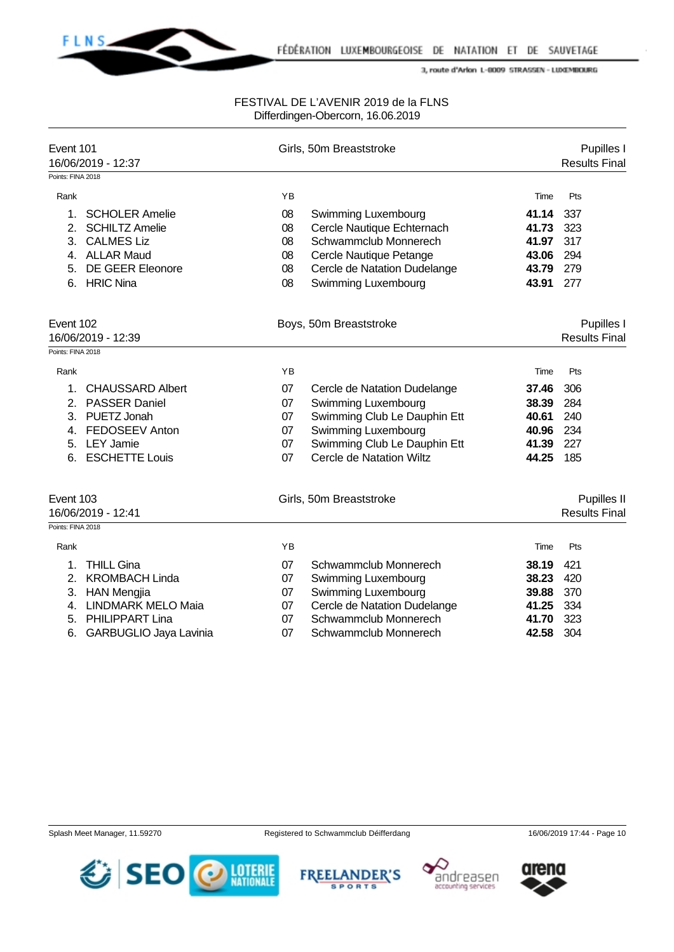**FLNS** 

### FESTIVAL DE L'AVENIR 2019 de la FLNS Differdingen-Obercorn, 16.06.2019

| Event 101<br>16/06/2019 - 12:37 |                           |    | Girls, 50m Breaststroke      |       |                      |  |
|---------------------------------|---------------------------|----|------------------------------|-------|----------------------|--|
| Points: FINA 2018               |                           |    |                              |       | <b>Results Final</b> |  |
| Rank                            |                           | YB |                              | Time  | Pts                  |  |
| 1.                              | <b>SCHOLER Amelie</b>     | 08 | Swimming Luxembourg          | 41.14 | 337                  |  |
| 2.                              | <b>SCHILTZ Amelie</b>     | 08 | Cercle Nautique Echternach   | 41.73 | 323                  |  |
| 3.                              | <b>CALMES Liz</b>         | 08 | Schwammclub Monnerech        | 41.97 | 317                  |  |
| 4.                              | <b>ALLAR Maud</b>         | 08 | Cercle Nautique Petange      | 43.06 | 294                  |  |
| 5.                              | <b>DE GEER Eleonore</b>   | 08 | Cercle de Natation Dudelange | 43.79 | 279                  |  |
| 6.                              | <b>HRIC Nina</b>          | 08 | Swimming Luxembourg          | 43.91 | 277                  |  |
| Event 102                       |                           |    | Boys, 50m Breaststroke       |       | Pupilles I           |  |
|                                 | 16/06/2019 - 12:39        |    |                              |       | <b>Results Final</b> |  |
| Points: FINA 2018               |                           |    |                              |       |                      |  |
| Rank                            |                           | YB |                              | Time  | Pts                  |  |
| $\mathbf{1}$ .                  | <b>CHAUSSARD Albert</b>   | 07 | Cercle de Natation Dudelange | 37.46 | 306                  |  |
| 2.                              | <b>PASSER Daniel</b>      | 07 | Swimming Luxembourg          | 38.39 | 284                  |  |
|                                 | 3. PUETZ Jonah            | 07 | Swimming Club Le Dauphin Ett | 40.61 | 240                  |  |
| 4.                              | FEDOSEEV Anton            | 07 | Swimming Luxembourg          | 40.96 | 234                  |  |
|                                 | 5. LEY Jamie              | 07 | Swimming Club Le Dauphin Ett | 41.39 | 227                  |  |
| 6.                              | <b>ESCHETTE Louis</b>     | 07 | Cercle de Natation Wiltz     | 44.25 | 185                  |  |
| Event 103                       |                           |    | Girls, 50m Breaststroke      |       | Pupilles II          |  |
|                                 | 16/06/2019 - 12:41        |    |                              |       | <b>Results Final</b> |  |
| Points: FINA 2018               |                           |    |                              |       |                      |  |
| Rank                            |                           | YB |                              | Time  | Pts                  |  |
| 1.                              | <b>THILL Gina</b>         | 07 | Schwammclub Monnerech        | 38.19 | 421                  |  |
| 2.                              | <b>KROMBACH Linda</b>     | 07 | Swimming Luxembourg          | 38.23 | 420                  |  |
|                                 | 3. HAN Mengjia            | 07 | Swimming Luxembourg          | 39.88 | 370                  |  |
| 4.                              | <b>LINDMARK MELO Maia</b> | 07 | Cercle de Natation Dudelange | 41.25 | 334                  |  |
| 5.                              | <b>PHILIPPART Lina</b>    | 07 | Schwammclub Monnerech        | 41.70 | 323                  |  |
| 6.                              | GARBUGLIO Jaya Lavinia    | 07 | Schwammclub Monnerech        | 42.58 | 304                  |  |







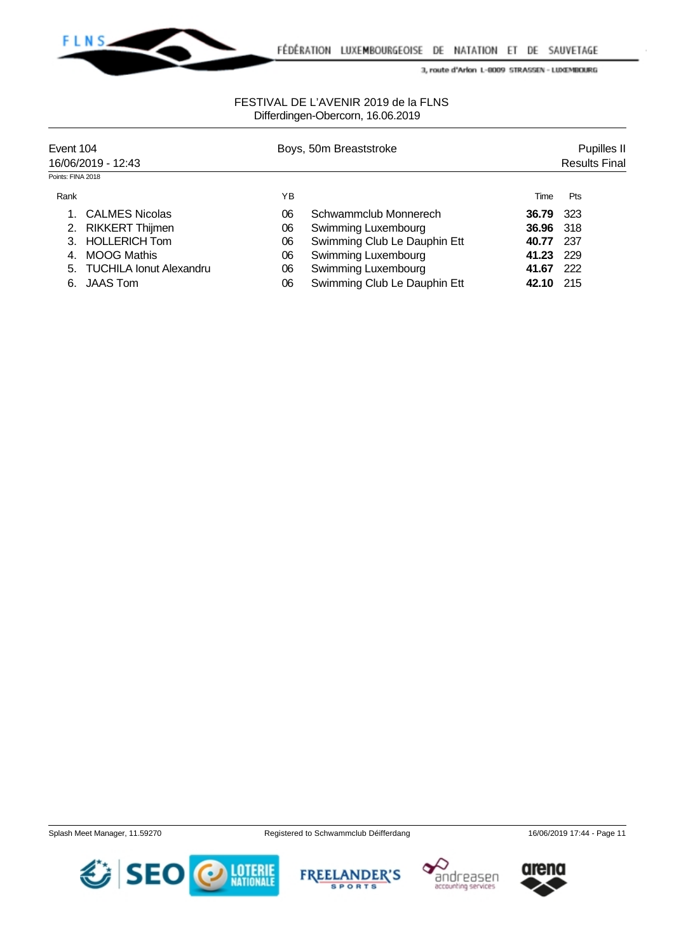

### FESTIVAL DE L'AVENIR 2019 de la FLNS Differdingen-Obercorn, 16.06.2019

| Event 104<br>16/06/2019 - 12:43 |                            |    | Boys, 50m Breaststroke       |       |      |  |  |
|---------------------------------|----------------------------|----|------------------------------|-------|------|--|--|
| Points: FINA 2018               |                            |    |                              |       |      |  |  |
| Rank                            |                            | ΥB |                              | Time  | Pts  |  |  |
|                                 | <b>CALMES Nicolas</b>      | 06 | Schwammclub Monnerech        | 36.79 | 323  |  |  |
| 2.                              | <b>RIKKERT Thijmen</b>     | 06 | Swimming Luxembourg          | 36.96 | -318 |  |  |
|                                 | <b>HOLLERICH Tom</b>       | 06 | Swimming Club Le Dauphin Ett | 40.77 | 237  |  |  |
| $\overline{4}$                  | <b>MOOG Mathis</b>         | 06 | Swimming Luxembourg          | 41.23 | 229  |  |  |
|                                 | 5. TUCHILA Ionut Alexandru | 06 | Swimming Luxembourg          | 41.67 | 222  |  |  |
|                                 | 6. JAAS Tom                | 06 | Swimming Club Le Dauphin Ett | 42.10 | 215  |  |  |







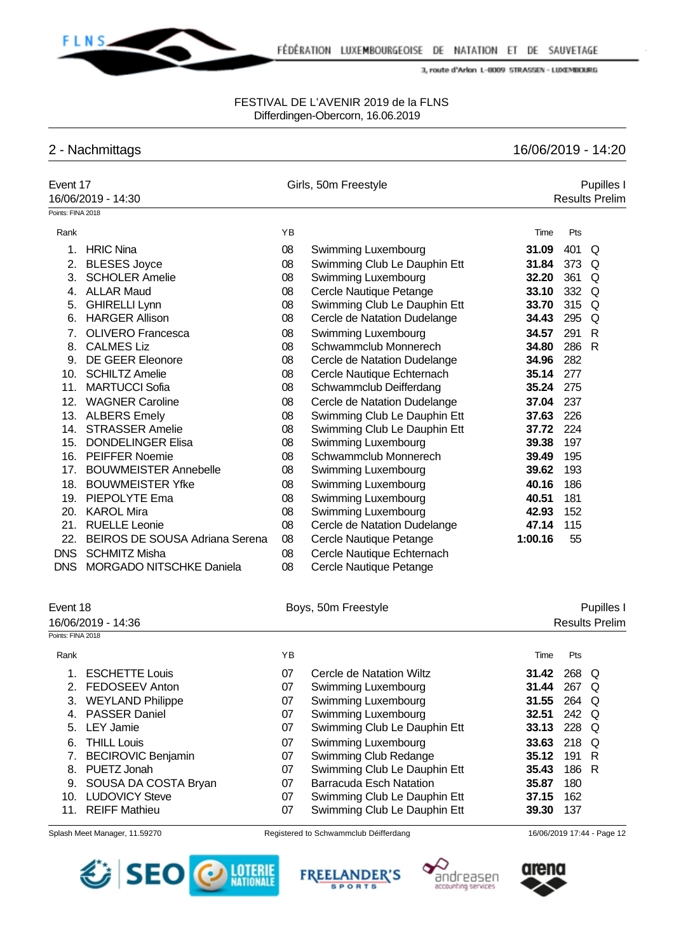

### FESTIVAL DE L'AVENIR 2019 de la FLNS Differdingen-Obercorn, 16.06.2019

# 2 - Nachmittags 16/06/2019 - 14:20

| Event 17<br>16/06/2019 - 14:30 |                                       | Girls, 50m Freestyle |                                       |            | Pupilles I<br><b>Results Prelim</b> |                            |  |  |
|--------------------------------|---------------------------------------|----------------------|---------------------------------------|------------|-------------------------------------|----------------------------|--|--|
| Points: FINA 2018              |                                       |                      |                                       |            |                                     |                            |  |  |
| Rank                           |                                       | YB                   |                                       | Time       | Pts                                 |                            |  |  |
| 1.                             | <b>HRIC Nina</b>                      | 08                   | Swimming Luxembourg                   | 31.09      | 401                                 | Q                          |  |  |
| 2.                             | <b>BLESES Joyce</b>                   | 08                   | Swimming Club Le Dauphin Ett          | 31.84      | 373                                 | Q                          |  |  |
| 3.                             | <b>SCHOLER Amelie</b>                 | 08                   | Swimming Luxembourg                   | 32.20      | 361                                 | Q                          |  |  |
|                                | 4. ALLAR Maud                         | 08                   | Cercle Nautique Petange               | 33.10      | 332                                 | Q                          |  |  |
| 5.                             | <b>GHIRELLI Lynn</b>                  | 08                   | Swimming Club Le Dauphin Ett          | 33.70      | 315                                 | Q                          |  |  |
| 6.                             | <b>HARGER Allison</b>                 | 08                   | Cercle de Natation Dudelange          | 34.43      | 295                                 | Q                          |  |  |
| 7.                             | <b>OLIVERO Francesca</b>              | 08                   | Swimming Luxembourg                   | 34.57      | 291                                 | $\mathsf{R}$               |  |  |
| 8.                             | <b>CALMES Liz</b>                     | 08                   | Schwammclub Monnerech                 | 34.80      | 286                                 | $\mathsf{R}$               |  |  |
| 9.                             | <b>DE GEER Eleonore</b>               | 08                   | Cercle de Natation Dudelange          | 34.96      | 282                                 |                            |  |  |
| 10.                            | <b>SCHILTZ Amelie</b>                 | 08                   | Cercle Nautique Echternach            | 35.14      | 277                                 |                            |  |  |
| 11.                            | <b>MARTUCCI Sofia</b>                 | 08                   | Schwammclub Deifferdang               | 35.24      | 275                                 |                            |  |  |
| 12.                            | <b>WAGNER Caroline</b>                | 08                   | Cercle de Natation Dudelange          | 37.04      | 237                                 |                            |  |  |
| 13.                            | <b>ALBERS Emely</b>                   | 08                   | Swimming Club Le Dauphin Ett          | 37.63      | 226                                 |                            |  |  |
| 14.                            | <b>STRASSER Amelie</b>                | 08                   | Swimming Club Le Dauphin Ett          | 37.72      | 224                                 |                            |  |  |
| 15.                            | <b>DONDELINGER Elisa</b>              | 08                   | Swimming Luxembourg                   | 39.38      | 197                                 |                            |  |  |
| 16.                            | <b>PEIFFER Noemie</b>                 | 08                   | Schwammclub Monnerech                 | 39.49      | 195                                 |                            |  |  |
| 17.                            | <b>BOUWMEISTER Annebelle</b>          | 08                   | Swimming Luxembourg                   | 39.62      | 193                                 |                            |  |  |
| 18.                            | <b>BOUWMEISTER Yfke</b>               | 08                   | Swimming Luxembourg                   | 40.16      | 186                                 |                            |  |  |
|                                | 19. PIEPOLYTE Ema                     | 08                   | Swimming Luxembourg                   | 40.51      | 181                                 |                            |  |  |
|                                | 20. KAROL Mira                        | 08                   | Swimming Luxembourg                   | 42.93      | 152                                 |                            |  |  |
| 21.                            | <b>RUELLE Leonie</b>                  | 08                   | Cercle de Natation Dudelange          | 47.14      | 115                                 |                            |  |  |
| 22.                            | <b>BEIROS DE SOUSA Adriana Serena</b> | 08                   | Cercle Nautique Petange               | 1:00.16    | 55                                  |                            |  |  |
| <b>DNS</b>                     | <b>SCHMITZ Misha</b>                  | 08                   | Cercle Nautique Echternach            |            |                                     |                            |  |  |
| <b>DNS</b>                     | <b>MORGADO NITSCHKE Daniela</b>       | 08                   | Cercle Nautique Petange               |            |                                     |                            |  |  |
| Event 18                       |                                       | Boys, 50m Freestyle  |                                       | Pupilles I |                                     |                            |  |  |
|                                | 16/06/2019 - 14:36                    |                      |                                       |            |                                     | <b>Results Prelim</b>      |  |  |
| Points: FINA 2018              |                                       |                      |                                       |            |                                     |                            |  |  |
| Rank                           |                                       | YB                   |                                       | Time       | Pts                                 |                            |  |  |
| 1.                             | <b>ESCHETTE Louis</b>                 | 07                   | Cercle de Natation Wiltz              | 31.42      | 268 Q                               |                            |  |  |
| 2.                             | <b>FEDOSEEV Anton</b>                 | 07                   | Swimming Luxembourg                   | 31.44      | 267 Q                               |                            |  |  |
| 3.                             | <b>WEYLAND Philippe</b>               | 07                   | Swimming Luxembourg                   | 31.55      | 264                                 | Q                          |  |  |
| 4.                             | <b>PASSER Daniel</b>                  | 07                   | Swimming Luxembourg                   | 32.51      | 242                                 | Q                          |  |  |
| 5.                             | <b>LEY Jamie</b>                      | 07                   | Swimming Club Le Dauphin Ett          | 33.13      | 228                                 | Q                          |  |  |
| 6.                             | <b>THILL Louis</b>                    | 07                   | Swimming Luxembourg                   | 33.63      | 218                                 | Q                          |  |  |
| 7.                             | <b>BECIROVIC Benjamin</b>             | 07                   | Swimming Club Redange                 | 35.12      | 191                                 | R                          |  |  |
| 8.                             | PUETZ Jonah                           | 07                   | Swimming Club Le Dauphin Ett          | 35.43      | 186                                 | R                          |  |  |
| 9.                             | SOUSA DA COSTA Bryan                  | 07                   | <b>Barracuda Esch Natation</b>        | 35.87      | 180                                 |                            |  |  |
| 10.                            | <b>LUDOVICY Steve</b>                 | 07                   | Swimming Club Le Dauphin Ett          | 37.15      | 162                                 |                            |  |  |
| 11.                            | <b>REIFF Mathieu</b>                  | 07                   | Swimming Club Le Dauphin Ett          | 39.30      | 137                                 |                            |  |  |
|                                | Splash Meet Manager, 11.59270         |                      | Registered to Schwammclub Déifferdang |            |                                     | 16/06/2019 17:44 - Page 12 |  |  |







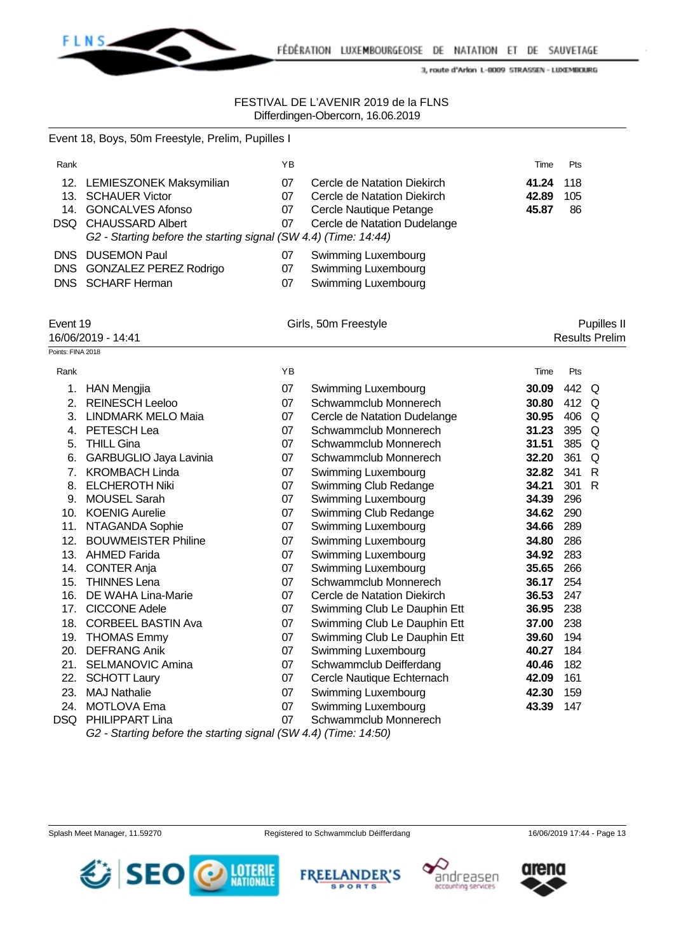

### FESTIVAL DE L'AVENIR 2019 de la FLNS Differdingen-Obercorn, 16.06.2019

|                                                     | Event 18, Boys, 50m Freestyle, Prelim, Pupilles I                                                                                                                    |                      |                                                                                                                       |                         |                  |                                      |
|-----------------------------------------------------|----------------------------------------------------------------------------------------------------------------------------------------------------------------------|----------------------|-----------------------------------------------------------------------------------------------------------------------|-------------------------|------------------|--------------------------------------|
| Rank                                                |                                                                                                                                                                      | YB                   |                                                                                                                       | Time                    | Pts              |                                      |
|                                                     | 12. LEMIESZONEK Maksymilian<br>13. SCHAUER Victor<br>14. GONCALVES Afonso<br>DSQ CHAUSSARD Albert<br>G2 - Starting before the starting signal (SW 4.4) (Time: 14:44) | 07<br>07<br>07<br>07 | Cercle de Natation Diekirch<br>Cercle de Natation Diekirch<br>Cercle Nautique Petange<br>Cercle de Natation Dudelange | 41.24<br>42.89<br>45.87 | 118<br>105<br>86 |                                      |
|                                                     | DNS DUSEMON Paul<br>DNS GONZALEZ PEREZ Rodrigo<br>DNS SCHARF Herman                                                                                                  | 07<br>07<br>07       | Swimming Luxembourg<br>Swimming Luxembourg<br>Swimming Luxembourg                                                     |                         |                  |                                      |
| Event 19<br>16/06/2019 - 14:41<br>Points: FINA 2018 |                                                                                                                                                                      |                      | Girls, 50m Freestyle                                                                                                  |                         |                  | Pupilles II<br><b>Results Prelim</b> |
|                                                     |                                                                                                                                                                      |                      |                                                                                                                       |                         |                  |                                      |
| Rank                                                |                                                                                                                                                                      | YB                   |                                                                                                                       | Time                    | Pts              |                                      |
|                                                     | 1. HAN Mengjia                                                                                                                                                       | 07                   | Swimming Luxembourg                                                                                                   | 30.09                   | 442 Q            |                                      |
|                                                     | 2. REINESCH Leeloo                                                                                                                                                   | 07                   | Schwammclub Monnerech                                                                                                 | 30.80                   | 412 Q            |                                      |
|                                                     | 3. LINDMARK MELO Maia                                                                                                                                                | 07                   | Cercle de Natation Dudelange                                                                                          | 30.95                   | 406              | Q                                    |
|                                                     | 4. PETESCH Lea                                                                                                                                                       | 07                   | Schwammclub Monnerech                                                                                                 | 31.23                   | 395              | Q                                    |
| 5.                                                  | <b>THILL Gina</b>                                                                                                                                                    | 07                   | Schwammclub Monnerech                                                                                                 | 31.51                   | 385              | Q                                    |
| 6.                                                  | GARBUGLIO Jaya Lavinia                                                                                                                                               | 07                   | Schwammclub Monnerech                                                                                                 | 32.20                   | 361              | Q                                    |
|                                                     | 7. KROMBACH Linda                                                                                                                                                    | 07                   | Swimming Luxembourg                                                                                                   | 32.82                   | 341              | R                                    |
| 8.                                                  | <b>ELCHEROTH Niki</b>                                                                                                                                                | 07                   | Swimming Club Redange                                                                                                 | 34.21                   | 301              | R                                    |
|                                                     | 9. MOUSEL Sarah                                                                                                                                                      | 07                   | Swimming Luxembourg                                                                                                   | 34.39                   | 296              |                                      |
|                                                     | 10. KOENIG Aurelie                                                                                                                                                   | 07                   | Swimming Club Redange                                                                                                 | 34.62                   | 290              |                                      |
|                                                     | 11. NTAGANDA Sophie                                                                                                                                                  | 07                   | Swimming Luxembourg                                                                                                   | 34.66                   | 289              |                                      |
|                                                     | 12. BOUWMEISTER Philine                                                                                                                                              | 07                   | Swimming Luxembourg                                                                                                   | 34.80                   | 286              |                                      |
|                                                     | 13. AHMED Farida                                                                                                                                                     | 07                   | Swimming Luxembourg                                                                                                   | 34.92                   | 283              |                                      |
|                                                     | 14. CONTER Anja                                                                                                                                                      | 07                   | Swimming Luxembourg                                                                                                   | 35.65                   | 266              |                                      |
|                                                     | 15. THINNES Lena                                                                                                                                                     | 07                   | Schwammclub Monnerech                                                                                                 | 36.17                   | 254              |                                      |
|                                                     | 16. DE WAHA Lina-Marie                                                                                                                                               | 07                   | Cercle de Natation Diekirch                                                                                           | 36.53                   | 247              |                                      |
|                                                     | 17. CICCONE Adele                                                                                                                                                    | 07                   | Swimming Club Le Dauphin Ett                                                                                          | 36.95                   | 238              |                                      |
|                                                     | 18. CORBEEL BASTIN Ava                                                                                                                                               | 07                   | Swimming Club Le Dauphin Ett                                                                                          | 37.00                   | 238              |                                      |
|                                                     | 19. THOMAS Emmy                                                                                                                                                      | 07                   | Swimming Club Le Dauphin Ett                                                                                          | 39.60                   | 194              |                                      |
|                                                     | 20. DEFRANG Anik                                                                                                                                                     | 07                   | Swimming Luxembourg                                                                                                   | 40.27                   | 184              |                                      |
|                                                     | 21. SELMANOVIC Amina                                                                                                                                                 | 07                   | Schwammclub Deifferdang                                                                                               | 40.46                   | 182              |                                      |

DSQ PHILIPPART Lina 07 Schwammclub Monnerech *G2 - Starting before the starting signal (SW 4.4) (Time: 14:50)*

22. SCHOTT Laury 07 Cercle Nautique Echternach **42.09** 161 23. MAJ Nathalie 07 Swimming Luxembourg **42.30** 159 24. MOTLOVA Ema 07 Swimming Luxembourg **43.39** 147





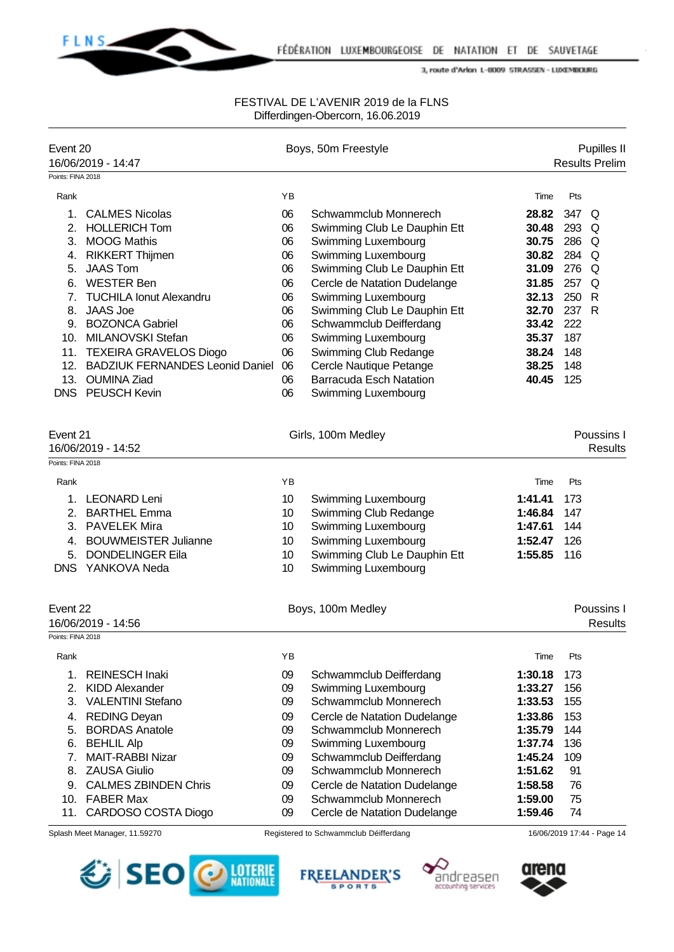

| Event 20          |                                           | Boys, 50m Freestyle |                                                     |                | Pupilles II<br><b>Results Prelim</b> |                              |  |
|-------------------|-------------------------------------------|---------------------|-----------------------------------------------------|----------------|--------------------------------------|------------------------------|--|
| Points: FINA 2018 | 16/06/2019 - 14:47                        |                     |                                                     |                |                                      |                              |  |
|                   |                                           | YB                  |                                                     |                |                                      |                              |  |
| Rank              |                                           |                     |                                                     | Time           | Pts                                  |                              |  |
| 1.                | <b>CALMES Nicolas</b>                     | 06                  | Schwammclub Monnerech                               | 28.82          | 347 Q                                |                              |  |
| 2.                | <b>HOLLERICH Tom</b>                      | 06                  | Swimming Club Le Dauphin Ett                        | 30.48          | 293 Q                                |                              |  |
| 3.                | <b>MOOG Mathis</b>                        | 06<br>06            | Swimming Luxembourg                                 | 30.75<br>30.82 | 286 Q<br>284 Q                       |                              |  |
| 4.<br>5.          | <b>RIKKERT Thijmen</b><br><b>JAAS Tom</b> | 06                  | Swimming Luxembourg<br>Swimming Club Le Dauphin Ett | 31.09          | 276 Q                                |                              |  |
|                   | 6. WESTER Ben                             | 06                  | Cercle de Natation Dudelange                        | 31.85          | 257 Q                                |                              |  |
| 7.                | <b>TUCHILA Ionut Alexandru</b>            | 06                  | Swimming Luxembourg                                 | 32.13          | 250 R                                |                              |  |
| 8.                | <b>JAAS Joe</b>                           | 06                  | Swimming Club Le Dauphin Ett                        | 32.70          | 237 R                                |                              |  |
|                   | 9. BOZONCA Gabriel                        | 06                  | Schwammclub Deifferdang                             | 33.42          | 222                                  |                              |  |
|                   | 10. MILANOVSKI Stefan                     | 06                  | Swimming Luxembourg                                 | 35.37          | 187                                  |                              |  |
|                   | 11. TEXEIRA GRAVELOS Diogo                | 06                  | Swimming Club Redange                               | 38.24          | 148                                  |                              |  |
|                   | 12. BADZIUK FERNANDES Leonid Daniel       | 06                  | Cercle Nautique Petange                             | 38.25          | 148                                  |                              |  |
|                   | 13. OUMINA Ziad                           | 06                  | <b>Barracuda Esch Natation</b>                      | 40.45          | 125                                  |                              |  |
| <b>DNS</b>        | <b>PEUSCH Kevin</b>                       | 06                  | Swimming Luxembourg                                 |                |                                      |                              |  |
|                   |                                           |                     |                                                     |                |                                      |                              |  |
| Event 21          | 16/06/2019 - 14:52                        |                     | Girls, 100m Medley                                  |                |                                      | Poussins I<br><b>Results</b> |  |
| Points: FINA 2018 |                                           |                     |                                                     |                |                                      |                              |  |
|                   |                                           |                     |                                                     |                |                                      |                              |  |
| Rank              |                                           | YB                  |                                                     | Time           | Pts                                  |                              |  |
| 1.                | <b>LEONARD Leni</b>                       | 10                  | Swimming Luxembourg                                 | 1:41.41        | 173                                  |                              |  |
| 2.                | <b>BARTHEL Emma</b>                       | 10                  | Swimming Club Redange                               | 1:46.84        | 147                                  |                              |  |
| 3.                | <b>PAVELEK Mira</b>                       | 10                  | Swimming Luxembourg                                 | 1:47.61        | 144                                  |                              |  |
| 4.                | <b>BOUWMEISTER Julianne</b>               | 10                  | Swimming Luxembourg                                 | 1:52.47        | 126                                  |                              |  |
| 5.                | <b>DONDELINGER Eila</b>                   | 10                  | Swimming Club Le Dauphin Ett                        | 1:55.85        | 116                                  |                              |  |
| <b>DNS</b>        | YANKOVA Neda                              | 10                  | Swimming Luxembourg                                 |                |                                      |                              |  |
| Event 22          |                                           |                     | Boys, 100m Medley                                   |                |                                      | Poussins I                   |  |
|                   | 16/06/2019 - 14:56                        |                     |                                                     |                |                                      | <b>Results</b>               |  |
| Points: FINA 2018 |                                           |                     |                                                     |                |                                      |                              |  |
| Rank              |                                           | ΥB                  |                                                     | Time           | Pts                                  |                              |  |
| 1.                | <b>REINESCH Inaki</b>                     | 09                  | Schwammclub Deifferdang                             | 1:30.18        | 173                                  |                              |  |
| 2.                | <b>KIDD Alexander</b>                     | 09                  | Swimming Luxembourg                                 | 1:33.27        | 156                                  |                              |  |
| 3.                | <b>VALENTINI Stefano</b>                  | 09                  | Schwammclub Monnerech                               | 1:33.53        | 155                                  |                              |  |
| 4.                | <b>REDING Deyan</b>                       | 09                  | Cercle de Natation Dudelange                        | 1:33.86        | 153                                  |                              |  |
| 5.                | <b>BORDAS Anatole</b>                     | 09                  | Schwammclub Monnerech                               | 1:35.79        | 144                                  |                              |  |
| 6.                | <b>BEHLIL Alp</b>                         | 09                  | Swimming Luxembourg                                 | 1:37.74        | 136                                  |                              |  |
| 7.                | <b>MAIT-RABBI Nizar</b>                   | 09                  | Schwammclub Deifferdang                             | 1:45.24        | 109                                  |                              |  |
| 8.                | <b>ZAUSA Giulio</b>                       | 09                  | Schwammclub Monnerech                               | 1:51.62        | 91                                   |                              |  |
|                   | 9. CALMES ZBINDEN Chris                   | 09                  | Cercle de Natation Dudelange                        | 1:58.58        | 76                                   |                              |  |
|                   | 10. FABER Max                             | 09                  | Schwammclub Monnerech                               | 1:59.00        | 75                                   |                              |  |
| 11.               | CARDOSO COSTA Diogo                       | 09                  | Cercle de Natation Dudelange                        | 1:59.46        | 74                                   |                              |  |
|                   | Splash Meet Manager, 11.59270             |                     | Registered to Schwammclub Déifferdang               |                |                                      | 16/06/2019 17:44 - Page 14   |  |







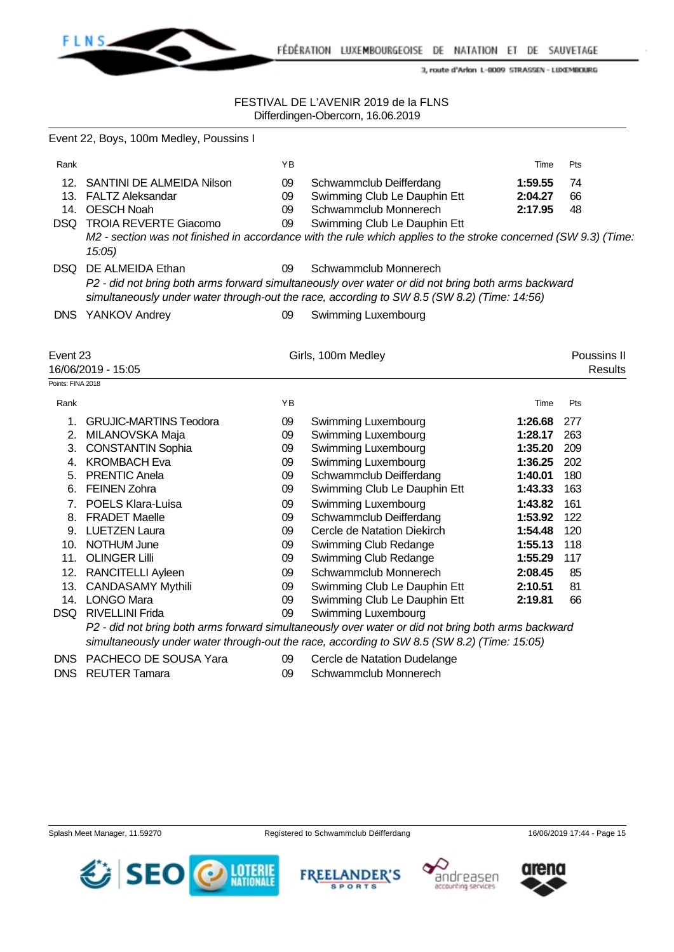

### FESTIVAL DE L'AVENIR 2019 de la FLNS Differdingen-Obercorn, 16.06.2019

|                   | Event 22, Boys, 100m Medley, Poussins I                                                                                                                                                           |    |                                                                                                                |         |                |  |  |  |
|-------------------|---------------------------------------------------------------------------------------------------------------------------------------------------------------------------------------------------|----|----------------------------------------------------------------------------------------------------------------|---------|----------------|--|--|--|
| Rank              |                                                                                                                                                                                                   | YB |                                                                                                                | Time    | Pts            |  |  |  |
|                   | 12. SANTINI DE ALMEIDA Nilson                                                                                                                                                                     | 09 | Schwammclub Deifferdang                                                                                        | 1:59.55 | 74             |  |  |  |
|                   | 13. FALTZ Aleksandar                                                                                                                                                                              | 09 | Swimming Club Le Dauphin Ett                                                                                   | 2:04.27 | 66             |  |  |  |
|                   | 14. OESCH Noah                                                                                                                                                                                    | 09 | Schwammclub Monnerech                                                                                          | 2:17.95 | 48             |  |  |  |
|                   | DSQ TROIA REVERTE Giacomo                                                                                                                                                                         | 09 | Swimming Club Le Dauphin Ett                                                                                   |         |                |  |  |  |
|                   | 15:05                                                                                                                                                                                             |    | M2 - section was not finished in accordance with the rule which applies to the stroke concerned (SW 9.3) (Time |         |                |  |  |  |
|                   | DSQ DE ALMEIDA Ethan                                                                                                                                                                              | 09 | Schwammclub Monnerech                                                                                          |         |                |  |  |  |
|                   | P2 - did not bring both arms forward simultaneously over water or did not bring both arms backward<br>simultaneously under water through-out the race, according to SW 8.5 (SW 8.2) (Time: 14:56) |    |                                                                                                                |         |                |  |  |  |
|                   | DNS YANKOV Andrey                                                                                                                                                                                 | 09 | Swimming Luxembourg                                                                                            |         |                |  |  |  |
| Event 23          |                                                                                                                                                                                                   |    | Girls, 100m Medley                                                                                             |         | Poussins II    |  |  |  |
|                   | 16/06/2019 - 15:05                                                                                                                                                                                |    |                                                                                                                |         | <b>Results</b> |  |  |  |
| Points: FINA 2018 |                                                                                                                                                                                                   |    |                                                                                                                |         |                |  |  |  |
| Rank              |                                                                                                                                                                                                   | YB |                                                                                                                | Time    | Pts            |  |  |  |
|                   | 1. GRUJIC-MARTINS Teodora                                                                                                                                                                         | 09 | Swimming Luxembourg                                                                                            | 1:26.68 | 277            |  |  |  |
|                   | 2. MILANOVSKA Maja                                                                                                                                                                                | 09 | Swimming Luxembourg                                                                                            | 1:28.17 | 263            |  |  |  |
|                   | 3. CONSTANTIN Sophia                                                                                                                                                                              | 09 | Swimming Luxembourg                                                                                            | 1:35.20 | 209            |  |  |  |
|                   | 4. KROMBACH Eva                                                                                                                                                                                   | 09 | Swimming Luxembourg                                                                                            | 1:36.25 | 202            |  |  |  |
|                   | 5. PRENTIC Anela                                                                                                                                                                                  | 09 | Schwammclub Deifferdang                                                                                        | 1:40.01 | 180            |  |  |  |
|                   | 6. FEINEN Zohra                                                                                                                                                                                   | 09 | Swimming Club Le Dauphin Ett                                                                                   | 1:43.33 | 163            |  |  |  |
|                   | 7. POELS Klara-Luisa                                                                                                                                                                              | 09 | Swimming Luxembourg                                                                                            | 1:43.82 | 161            |  |  |  |
|                   | 8. FRADET Maelle                                                                                                                                                                                  | 09 | Schwammclub Deifferdang                                                                                        | 1:53.92 | 122            |  |  |  |
|                   | 9. LUETZEN Laura                                                                                                                                                                                  | 09 | Cercle de Natation Diekirch                                                                                    | 1:54.48 | 120            |  |  |  |
|                   | 10. NOTHUM June                                                                                                                                                                                   | 09 | Swimming Club Redange                                                                                          | 1:55.13 | 118            |  |  |  |
|                   | 11. OLINGER Lilli                                                                                                                                                                                 | 09 | Swimming Club Redange                                                                                          | 1:55.29 | 117            |  |  |  |
|                   | 12. RANCITELLI Ayleen                                                                                                                                                                             | 09 | Schwammclub Monnerech                                                                                          | 2:08.45 | 85             |  |  |  |
|                   | 13. CANDASAMY Mythili                                                                                                                                                                             | 09 | Swimming Club Le Dauphin Ett                                                                                   | 2:10.51 | 81             |  |  |  |
|                   | 14. LONGO Mara                                                                                                                                                                                    | 09 | Swimming Club Le Dauphin Ett                                                                                   | 2:19.81 | 66             |  |  |  |
|                   | DSQ RIVELLINI Frida                                                                                                                                                                               | 09 | Swimming Luxembourg                                                                                            |         |                |  |  |  |
|                   |                                                                                                                                                                                                   |    | P2 - did not bring both arms forward simultaneously over water or did not bring both arms backward             |         |                |  |  |  |
|                   |                                                                                                                                                                                                   |    | simultaneously under water through-out the race, according to SW 8.5 (SW 8.2) (Time: 15:05)                    |         |                |  |  |  |
|                   | DNS PACHECO DE SOUSA Yara                                                                                                                                                                         | 09 | Cercle de Natation Dudelange                                                                                   |         |                |  |  |  |
| <b>DNS</b>        | <b>REUTER Tamara</b>                                                                                                                                                                              | 09 | Schwammclub Monnerech                                                                                          |         |                |  |  |  |

SEO

**O LOTERIE** 





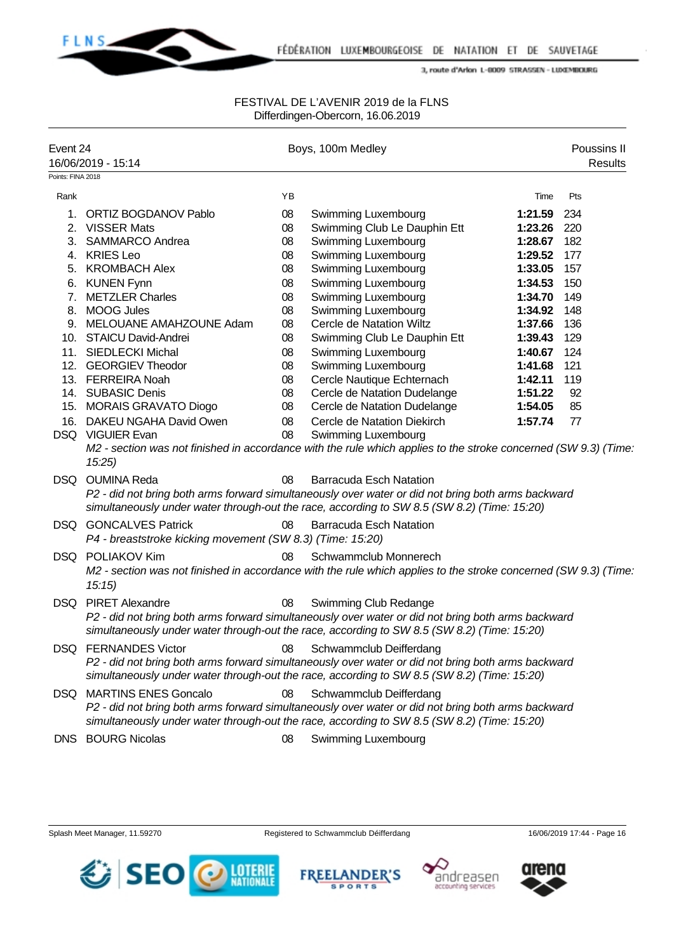

### FESTIVAL DE L'AVENIR 2019 de la FLNS Differdingen-Obercorn, 16.06.2019

| Event 24<br>16/06/2019 - 15:14 |                                                                                           |    | Boys, 100m Medley                                                                                                                                                                                                            |         | Poussins II<br><b>Results</b> |
|--------------------------------|-------------------------------------------------------------------------------------------|----|------------------------------------------------------------------------------------------------------------------------------------------------------------------------------------------------------------------------------|---------|-------------------------------|
| Points: FINA 2018              |                                                                                           |    |                                                                                                                                                                                                                              |         |                               |
| Rank                           |                                                                                           | YB |                                                                                                                                                                                                                              | Time    | Pts                           |
| 1.                             | <b>ORTIZ BOGDANOV Pablo</b>                                                               | 08 | Swimming Luxembourg                                                                                                                                                                                                          | 1:21.59 | 234                           |
|                                | 2. VISSER Mats                                                                            | 08 | Swimming Club Le Dauphin Ett                                                                                                                                                                                                 | 1:23.26 | 220                           |
|                                | 3. SAMMARCO Andrea                                                                        | 08 | Swimming Luxembourg                                                                                                                                                                                                          | 1:28.67 | 182                           |
|                                | 4. KRIES Leo                                                                              | 08 | Swimming Luxembourg                                                                                                                                                                                                          | 1:29.52 | 177                           |
|                                | 5. KROMBACH Alex                                                                          | 08 | Swimming Luxembourg                                                                                                                                                                                                          | 1:33.05 | 157                           |
|                                | 6. KUNEN Fynn                                                                             | 08 | Swimming Luxembourg                                                                                                                                                                                                          | 1:34.53 | 150                           |
| 7.                             | <b>METZLER Charles</b>                                                                    | 08 | Swimming Luxembourg                                                                                                                                                                                                          | 1:34.70 | 149                           |
| 8.                             | <b>MOOG Jules</b>                                                                         | 08 | Swimming Luxembourg                                                                                                                                                                                                          | 1:34.92 | 148                           |
|                                | 9. MELOUANE AMAHZOUNE Adam                                                                | 08 | Cercle de Natation Wiltz                                                                                                                                                                                                     | 1:37.66 | 136                           |
|                                | 10. STAICU David-Andrei                                                                   | 08 | Swimming Club Le Dauphin Ett                                                                                                                                                                                                 | 1:39.43 | 129                           |
|                                | 11. SIEDLECKI Michal                                                                      | 08 | Swimming Luxembourg                                                                                                                                                                                                          | 1:40.67 | 124                           |
|                                | 12. GEORGIEV Theodor                                                                      | 08 | Swimming Luxembourg                                                                                                                                                                                                          | 1:41.68 | 121                           |
|                                | 13. FERREIRA Noah                                                                         | 08 | Cercle Nautique Echternach                                                                                                                                                                                                   | 1:42.11 | 119                           |
|                                | 14. SUBASIC Denis                                                                         | 08 | Cercle de Natation Dudelange                                                                                                                                                                                                 | 1:51.22 | 92                            |
|                                | 15. MORAIS GRAVATO Diogo                                                                  | 08 | Cercle de Natation Dudelange                                                                                                                                                                                                 | 1:54.05 | 85                            |
|                                | 16. DAKEU NGAHA David Owen                                                                | 08 | Cercle de Natation Diekirch                                                                                                                                                                                                  | 1:57.74 | 77                            |
|                                | DSQ VIGUIER Evan<br>15:25                                                                 | 08 | Swimming Luxembourg<br>M2 - section was not finished in accordance with the rule which applies to the stroke concerned (SW 9.3) (Time                                                                                        |         |                               |
| DSQ.                           | <b>OUMINA Reda</b>                                                                        | 08 | <b>Barracuda Esch Natation</b>                                                                                                                                                                                               |         |                               |
|                                |                                                                                           |    | P2 - did not bring both arms forward simultaneously over water or did not bring both arms backward<br>simultaneously under water through-out the race, according to SW 8.5 (SW 8.2) (Time: 15:20)                            |         |                               |
|                                | <b>DSQ GONCALVES Patrick</b><br>P4 - breaststroke kicking movement (SW 8.3) (Time: 15:20) | 08 | <b>Barracuda Esch Natation</b>                                                                                                                                                                                               |         |                               |
|                                | DSQ POLIAKOV Kim<br>15:15                                                                 | 08 | Schwammclub Monnerech<br>M2 - section was not finished in accordance with the rule which applies to the stroke concerned (SW 9.3) (Time                                                                                      |         |                               |
| DSQ.                           | <b>PIRET Alexandre</b>                                                                    | 08 | Swimming Club Redange<br>P2 - did not bring both arms forward simultaneously over water or did not bring both arms backward<br>simultaneously under water through-out the race, according to SW 8.5 (SW 8.2) (Time: 15:20)   |         |                               |
|                                | <b>DSQ FERNANDES Victor</b>                                                               | 08 | Schwammclub Deifferdang<br>P2 - did not bring both arms forward simultaneously over water or did not bring both arms backward<br>simultaneously under water through-out the race, according to SW 8.5 (SW 8.2) (Time: 15:20) |         |                               |
| DSQ.                           | <b>MARTINS ENES Goncalo</b>                                                               | 08 | Schwammclub Deifferdang<br>P2 - did not bring both arms forward simultaneously over water or did not bring both arms backward<br>simultaneously under water through-out the race, according to SW 8.5 (SW 8.2) (Time: 15:20) |         |                               |
| <b>DNS</b>                     | <b>BOURG Nicolas</b>                                                                      | 08 | Swimming Luxembourg                                                                                                                                                                                                          |         |                               |







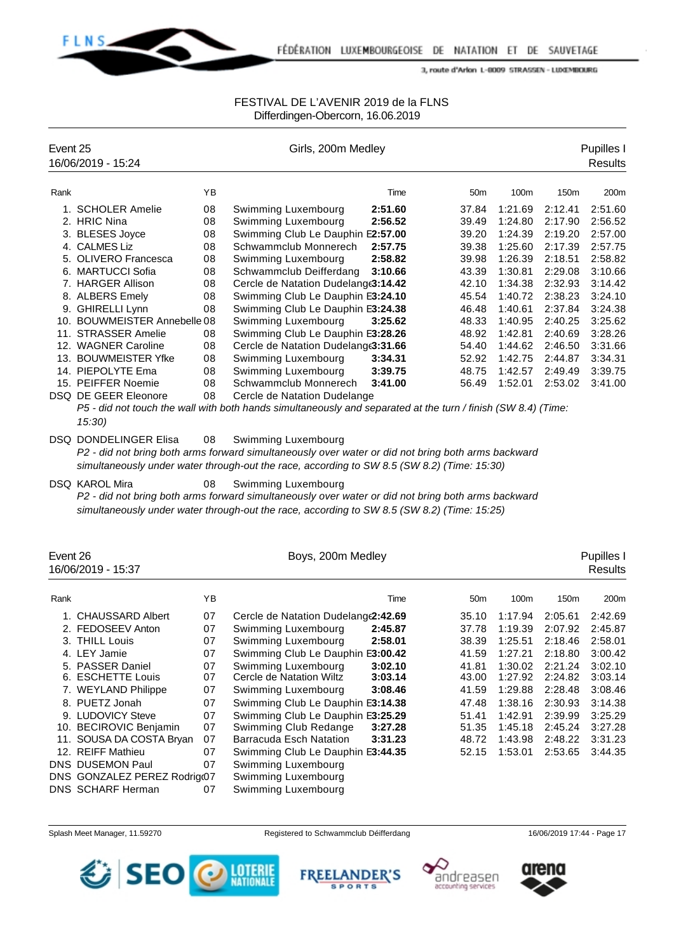

## FESTIVAL DE L'AVENIR 2019 de la FLNS Differdingen-Obercorn, 16.06.2019

| Event 25 |                              |    | Girls, 200m Medley                                                                                            |         | Pupilles I      |         |         |                |
|----------|------------------------------|----|---------------------------------------------------------------------------------------------------------------|---------|-----------------|---------|---------|----------------|
|          | 16/06/2019 - 15:24           |    |                                                                                                               |         |                 |         |         | <b>Results</b> |
| Rank     |                              | YB |                                                                                                               | Time    | 50 <sub>m</sub> | 100m    | 150m    | 200m           |
|          | 1. SCHOLER Amelie            | 08 | Swimming Luxembourg                                                                                           | 2:51.60 | 37.84           | 1:21.69 | 2:12.41 | 2:51.60        |
|          | 2. HRIC Nina                 | 08 | Swimming Luxembourg                                                                                           | 2:56.52 | 39.49           | 1:24.80 | 2:17.90 | 2:56.52        |
|          | 3. BLESES Joyce              | 08 | Swimming Club Le Dauphin E2:57.00                                                                             |         | 39.20           | 1:24.39 | 2:19.20 | 2:57.00        |
|          | 4. CALMES Liz                | 08 | Schwammclub Monnerech                                                                                         | 2:57.75 | 39.38           | 1:25.60 | 2:17.39 | 2:57.75        |
|          | 5. OLIVERO Francesca         | 08 | Swimming Luxembourg                                                                                           | 2:58.82 | 39.98           | 1:26.39 | 2:18.51 | 2:58.82        |
|          | 6. MARTUCCI Sofia            | 08 | Schwammclub Deifferdang                                                                                       | 3:10.66 | 43.39           | 1:30.81 | 2:29.08 | 3:10.66        |
|          | 7. HARGER Allison            | 08 | Cercle de Natation Dudelang(3:14.42                                                                           |         | 42.10           | 1:34.38 | 2:32.93 | 3:14.42        |
|          | 8. ALBERS Emely              | 08 | Swimming Club Le Dauphin E3:24.10                                                                             |         | 45.54           | 1:40.72 | 2:38.23 | 3:24.10        |
|          | 9. GHIRELLI Lynn             | 08 | Swimming Club Le Dauphin E3:24.38                                                                             |         | 46.48           | 1:40.61 | 2:37.84 | 3:24.38        |
|          | 10. BOUWMEISTER Annebelle 08 |    | Swimming Luxembourg                                                                                           | 3:25.62 | 48.33           | 1:40.95 | 2:40.25 | 3:25.62        |
|          | 11. STRASSER Amelie          | 08 | Swimming Club Le Dauphin E3:28.26                                                                             |         | 48.92           | 1:42.81 | 2:40.69 | 3:28.26        |
|          | 12. WAGNER Caroline          | 08 | Cercle de Natation Dudelang(3:31.66                                                                           |         | 54.40           | 1:44.62 | 2:46.50 | 3:31.66        |
|          | 13. BOUWMEISTER Yfke         | 08 | Swimming Luxembourg                                                                                           | 3:34.31 | 52.92           | 1:42.75 | 2:44.87 | 3:34.31        |
|          | 14. PIEPOLYTE Ema            | 08 | Swimming Luxembourg                                                                                           | 3:39.75 | 48.75           | 1:42.57 | 2:49.49 | 3:39.75        |
|          | 15. PEIFFER Noemie           | 08 | Schwammclub Monnerech                                                                                         | 3:41.00 | 56.49           | 1:52.01 | 2:53.02 | 3:41.00        |
|          | DSQ DE GEER Eleonore         | 08 | Cercle de Natation Dudelange                                                                                  |         |                 |         |         |                |
|          |                              |    | P5 - did not touch the wall with both hands simultaneously and separated at the turn / finish (SW 8.4) (Time: |         |                 |         |         |                |

*15:30)*

DSQ DONDELINGER Elisa 08 Swimming Luxembourg *P2 - did not bring both arms forward simultaneously over water or did not bring both arms backward simultaneously under water through-out the race, according to SW 8.5 (SW 8.2) (Time: 15:30)*

DSQ KAROL Mira **08** Swimming Luxembourg

*P2 - did not bring both arms forward simultaneously over water or did not bring both arms backward simultaneously under water through-out the race, according to SW 8.5 (SW 8.2) (Time: 15:25)*

| Event 26<br>16/06/2019 - 15:37 |                             |    | Boys, 200m Medley                         |                 | Pupilles I<br>Results |                  |         |  |
|--------------------------------|-----------------------------|----|-------------------------------------------|-----------------|-----------------------|------------------|---------|--|
| Rank                           |                             | ΥB | Time                                      | 50 <sub>m</sub> | 100 <sub>m</sub>      | 150 <sub>m</sub> | 200m    |  |
|                                | 1. CHAUSSARD Albert         | 07 | Cercle de Natation Dudelang (2:42.69      | 35.10           | 1:17.94               | 2:05.61          | 2:42.69 |  |
|                                | 2. FEDOSEEV Anton           | 07 | Swimming Luxembourg<br>2:45.87            | 37.78           | 1:19.39               | 2:07.92          | 2:45.87 |  |
|                                | 3. THILL Louis              | 07 | Swimming Luxembourg<br>2:58.01            | 38.39           | 1:25.51               | 2:18.46          | 2:58.01 |  |
|                                | 4. LEY Jamie                | 07 | Swimming Club Le Dauphin E3:00.42         | 41.59           | 1:27.21               | 2:18.80          | 3:00.42 |  |
|                                | 5. PASSER Daniel            | 07 | Swimming Luxembourg<br>3:02.10            | 41.81           | 1:30.02               | 2:21.24          | 3:02.10 |  |
|                                | 6. ESCHETTE Louis           | 07 | Cercle de Natation Wiltz<br>3:03.14       | 43.00           | 1:27.92               | 2:24.82          | 3:03.14 |  |
|                                | 7. WEYLAND Philippe         | 07 | Swimming Luxembourg<br>3:08.46            | 41.59           | 1:29.88               | 2:28.48          | 3:08.46 |  |
|                                | 8. PUETZ Jonah              | 07 | Swimming Club Le Dauphin E3:14.38         | 47.48           | 1:38.16               | 2:30.93          | 3:14.38 |  |
|                                | 9. LUDOVICY Steve           | 07 | Swimming Club Le Dauphin E3:25.29         | 51.41           | 1:42.91               | 2:39.99          | 3:25.29 |  |
|                                | 10. BECIROVIC Benjamin      | 07 | Swimming Club Redange<br>3:27.28          | 51.35           | 1:45.18               | 2:45.24          | 3:27.28 |  |
|                                | 11. SOUSA DA COSTA Bryan    | 07 | <b>Barracuda Esch Natation</b><br>3:31.23 | 48.72           | 1:43.98               | 2:48.22          | 3:31.23 |  |
|                                | 12. REIFF Mathieu           | 07 | Swimming Club Le Dauphin E3:44.35         | 52.15           | 1:53.01               | 2:53.65          | 3:44.35 |  |
|                                | <b>DNS DUSEMON Paul</b>     | 07 | Swimming Luxembourg                       |                 |                       |                  |         |  |
|                                | DNS GONZALEZ PEREZ Rodrig@7 |    | Swimming Luxembourg                       |                 |                       |                  |         |  |
|                                | <b>DNS SCHARF Herman</b>    | 07 | Swimming Luxembourg                       |                 |                       |                  |         |  |







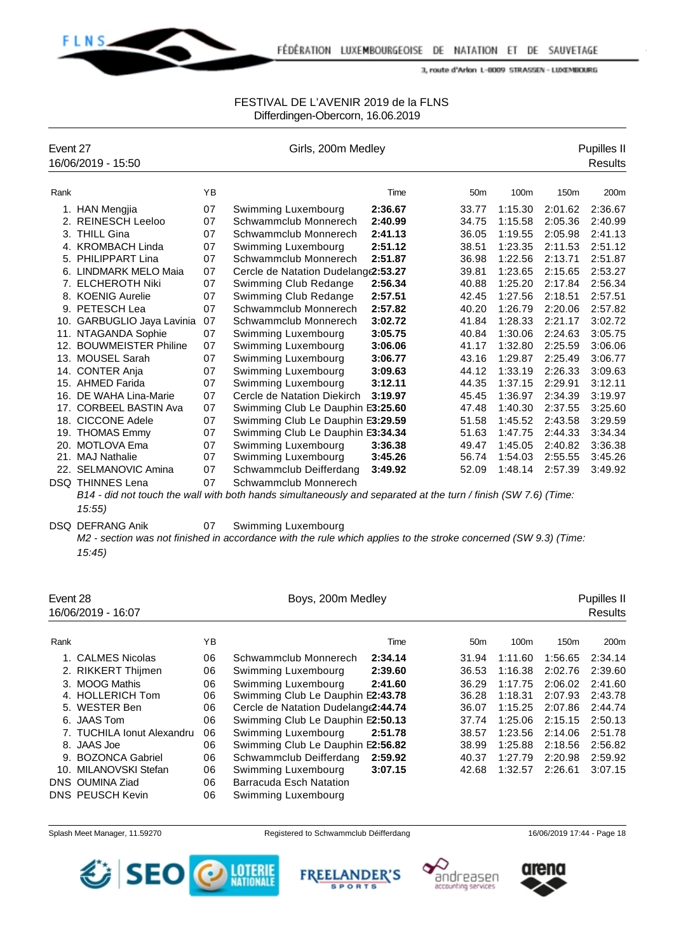

### FESTIVAL DE L'AVENIR 2019 de la FLNS Differdingen-Obercorn, 16.06.2019

| Event 27 | 16/06/2019 - 15:50         |    | Girls, 200m Medley                                                                                             |         |                 |         |                  | Pupilles II<br><b>Results</b> |
|----------|----------------------------|----|----------------------------------------------------------------------------------------------------------------|---------|-----------------|---------|------------------|-------------------------------|
| Rank     |                            | YB |                                                                                                                | Time    | 50 <sub>m</sub> | 100m    | 150 <sub>m</sub> | 200m                          |
|          | 1. HAN Mengjia             | 07 | Swimming Luxembourg                                                                                            | 2:36.67 | 33.77           | 1:15.30 | 2:01.62          | 2:36.67                       |
| 2.       | <b>REINESCH Leeloo</b>     | 07 | Schwammclub Monnerech                                                                                          | 2:40.99 | 34.75           | 1:15.58 | 2:05.36          | 2:40.99                       |
|          | 3. THILL Gina              | 07 | Schwammclub Monnerech                                                                                          | 2:41.13 | 36.05           | 1:19.55 | 2:05.98          | 2:41.13                       |
|          | 4. KROMBACH Linda          | 07 | Swimming Luxembourg                                                                                            | 2:51.12 | 38.51           | 1:23.35 | 2:11.53          | 2:51.12                       |
|          | 5. PHILIPPART Lina         | 07 | Schwammclub Monnerech                                                                                          | 2:51.87 | 36.98           | 1:22.56 | 2:13.71          | 2:51.87                       |
|          | 6. LINDMARK MELO Maia      | 07 | Cercle de Natation Dudelange2:53.27                                                                            |         | 39.81           | 1:23.65 | 2:15.65          | 2:53.27                       |
| 7.       | <b>ELCHEROTH Niki</b>      | 07 | Swimming Club Redange                                                                                          | 2:56.34 | 40.88           | 1:25.20 | 2:17.84          | 2:56.34                       |
|          | 8. KOENIG Aurelie          | 07 | Swimming Club Redange                                                                                          | 2:57.51 | 42.45           | 1:27.56 | 2:18.51          | 2:57.51                       |
|          | 9. PETESCH Lea             | 07 | Schwammclub Monnerech                                                                                          | 2:57.82 | 40.20           | 1:26.79 | 2:20.06          | 2:57.82                       |
|          | 10. GARBUGLIO Jaya Lavinia | 07 | Schwammclub Monnerech                                                                                          | 3:02.72 | 41.84           | 1:28.33 | 2:21.17          | 3:02.72                       |
|          | 11. NTAGANDA Sophie        | 07 | Swimming Luxembourg                                                                                            | 3:05.75 | 40.84           | 1:30.06 | 2:24.63          | 3:05.75                       |
|          | 12. BOUWMEISTER Philine    | 07 | Swimming Luxembourg                                                                                            | 3:06.06 | 41.17           | 1:32.80 | 2:25.59          | 3:06.06                       |
| 13.      | <b>MOUSEL Sarah</b>        | 07 | Swimming Luxembourg                                                                                            | 3:06.77 | 43.16           | 1:29.87 | 2:25.49          | 3:06.77                       |
|          | 14. CONTER Anja            | 07 | Swimming Luxembourg                                                                                            | 3:09.63 | 44.12           | 1:33.19 | 2:26.33          | 3:09.63                       |
|          | 15. AHMED Farida           | 07 | Swimming Luxembourg                                                                                            | 3:12.11 | 44.35           | 1:37.15 | 2:29.91          | 3:12.11                       |
|          | 16. DE WAHA Lina-Marie     | 07 | Cercle de Natation Diekirch                                                                                    | 3:19.97 | 45.45           | 1:36.97 | 2:34.39          | 3:19.97                       |
|          | 17. CORBEEL BASTIN Ava     | 07 | Swimming Club Le Dauphin E3:25.60                                                                              |         | 47.48           | 1:40.30 | 2:37.55          | 3:25.60                       |
|          | 18. CICCONE Adele          | 07 | Swimming Club Le Dauphin E3:29.59                                                                              |         | 51.58           | 1:45.52 | 2:43.58          | 3:29.59                       |
|          | 19. THOMAS Emmy            | 07 | Swimming Club Le Dauphin E3:34.34                                                                              |         | 51.63           | 1:47.75 | 2:44.33          | 3:34.34                       |
|          | 20. MOTLOVA Ema            | 07 | Swimming Luxembourg                                                                                            | 3:36.38 | 49.47           | 1:45.05 | 2:40.82          | 3:36.38                       |
|          | 21. MAJ Nathalie           | 07 | Swimming Luxembourg                                                                                            | 3:45.26 | 56.74           | 1:54.03 | 2:55.55          | 3:45.26                       |
|          | 22. SELMANOVIC Amina       | 07 | Schwammclub Deifferdang                                                                                        | 3:49.92 | 52.09           | 1:48.14 | 2:57.39          | 3:49.92                       |
|          | <b>DSQ THINNES Lena</b>    | 07 | Schwammclub Monnerech                                                                                          |         |                 |         |                  |                               |
|          | 15:55                      |    | B14 - did not touch the wall with both hands simultaneously and separated at the turn / finish (SW 7.6) (Time: |         |                 |         |                  |                               |
|          | <b>DSQ DEFRANG Anik</b>    | 07 | Swimming Luxembourg                                                                                            |         |                 |         |                  |                               |

*M2 - section was not finished in accordance with the rule which applies to the stroke concerned (SW 9.3) (Time: 15:45)*

| Event 28<br>16/06/2019 - 16:07 |    | Boys, 200m Medley                    |                 |         |                  | Pupilles II<br><b>Results</b> |
|--------------------------------|----|--------------------------------------|-----------------|---------|------------------|-------------------------------|
| Rank                           | YB | Time                                 | 50 <sub>m</sub> | 100m    | 150 <sub>m</sub> | 200 <sub>m</sub>              |
| 1. CALMES Nicolas              | 06 | Schwammclub Monnerech<br>2:34.14     | 31.94           | 1:11.60 | 1:56.65          | 2:34.14                       |
| 2. RIKKERT Thijmen             | 06 | 2:39.60<br>Swimming Luxembourg       | 36.53           | 1:16.38 | 2:02.76          | 2:39.60                       |
| 3. MOOG Mathis                 | 06 | Swimming Luxembourg<br>2:41.60       | 36.29           | 1:17.75 | 2:06.02          | 2:41.60                       |
| 4. HOLLERICH Tom               | 06 | Swimming Club Le Dauphin E2:43.78    | 36.28           | 1:18.31 | 2:07.93          | 2:43.78                       |
| 5. WESTER Ben                  | 06 | Cercle de Natation Dudelang (2:44.74 | 36.07           | 1:15.25 | 2:07.86          | 2:44.74                       |
| 6. JAAS Tom                    | 06 | Swimming Club Le Dauphin E2:50.13    | 37.74           | 1:25.06 | 2:15.15          | 2:50.13                       |
| 7. TUCHILA Ionut Alexandru     | 06 | Swimming Luxembourg<br>2:51.78       | 38.57           | 1:23.56 | 2:14.06          | 2:51.78                       |
| 8. JAAS Joe                    | 06 | Swimming Club Le Dauphin E2:56.82    | 38.99           | 1:25.88 | 2:18.56          | 2:56.82                       |
| 9. BOZONCA Gabriel             | 06 | Schwammclub Deifferdang<br>2:59.92   | 40.37           | 1:27.79 | 2:20.98          | 2:59.92                       |
| 10. MILANOVSKI Stefan          | 06 | Swimming Luxembourg<br>3:07.15       | 42.68           | 1:32.57 | 2:26.61          | 3:07.15                       |
| DNS OUMINA Ziad                | 06 | <b>Barracuda Esch Natation</b>       |                 |         |                  |                               |
| <b>DNS PEUSCH Kevin</b>        | 06 | Swimming Luxembourg                  |                 |         |                  |                               |









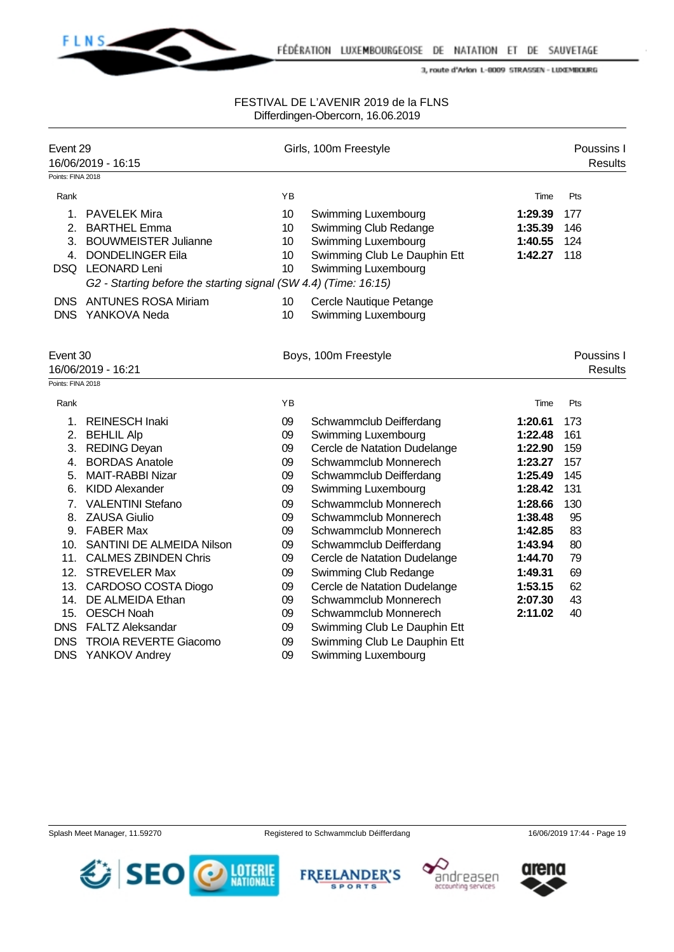

| Event 29<br>Points: FINA 2018  | 16/06/2019 - 16:15                                                                                                                                                                      |                            | Girls, 100m Freestyle                                                                                                      |                                              | Poussins I<br><b>Results</b> |  |
|--------------------------------|-----------------------------------------------------------------------------------------------------------------------------------------------------------------------------------------|----------------------------|----------------------------------------------------------------------------------------------------------------------------|----------------------------------------------|------------------------------|--|
| Rank                           |                                                                                                                                                                                         | YB                         |                                                                                                                            | Time                                         | Pts                          |  |
| 2.<br>3.<br>4.                 | 1. PAVELEK Mira<br><b>BARTHEL Emma</b><br><b>BOUWMEISTER Julianne</b><br><b>DONDELINGER Eila</b><br>DSQ LEONARD Leni<br>G2 - Starting before the starting signal (SW 4.4) (Time: 16:15) | 10<br>10<br>10<br>10<br>10 | Swimming Luxembourg<br>Swimming Club Redange<br>Swimming Luxembourg<br>Swimming Club Le Dauphin Ett<br>Swimming Luxembourg | 1:29.39<br>1:35.39<br>1:40.55<br>1:42.27 118 | 177<br>146<br>124            |  |
| <b>DNS</b>                     | <b>ANTUNES ROSA Miriam</b><br>DNS YANKOVA Neda                                                                                                                                          | 10<br>10                   | Cercle Nautique Petange<br>Swimming Luxembourg                                                                             |                                              |                              |  |
| Event 30<br>16/06/2019 - 16:21 |                                                                                                                                                                                         |                            | Boys, 100m Freestyle                                                                                                       |                                              | Poussins I<br><b>Results</b> |  |
| Points: FINA 2018              |                                                                                                                                                                                         |                            |                                                                                                                            |                                              |                              |  |
| Rank                           |                                                                                                                                                                                         | YB                         |                                                                                                                            | Time                                         | Pts                          |  |
| 1.                             | <b>REINESCH Inaki</b>                                                                                                                                                                   | 09                         | Schwammclub Deifferdang                                                                                                    | 1:20.61                                      | 173                          |  |
|                                | 2. BEHLIL Alp                                                                                                                                                                           | 09                         | <b>Swimming Luxembourg</b>                                                                                                 | 1:22.48                                      | 161                          |  |
|                                | 3. REDING Deyan                                                                                                                                                                         | 09                         | Cercle de Natation Dudelange                                                                                               | 1:22.90                                      | 159                          |  |
| 4.                             | <b>BORDAS Anatole</b>                                                                                                                                                                   | 09                         | Schwammclub Monnerech                                                                                                      | 1:23.27                                      | 157                          |  |
| 5.                             | <b>MAIT-RABBI Nizar</b>                                                                                                                                                                 | 09                         | Schwammclub Deifferdang                                                                                                    | 1:25.49                                      | 145                          |  |
| 6.                             | <b>KIDD Alexander</b>                                                                                                                                                                   | 09                         | Swimming Luxembourg                                                                                                        | 1:28.42                                      | 131                          |  |
| 7.                             | <b>VALENTINI Stefano</b>                                                                                                                                                                | 09                         | Schwammclub Monnerech                                                                                                      | 1:28.66                                      | 130                          |  |
| 8.                             | <b>ZAUSA Giulio</b>                                                                                                                                                                     | 09                         | Schwammclub Monnerech                                                                                                      | 1:38.48                                      | 95                           |  |
|                                | 9. FABER Max                                                                                                                                                                            | 09                         | Schwammclub Monnerech                                                                                                      | 1:42.85                                      | 83                           |  |
| 10.                            | SANTINI DE ALMEIDA Nilson                                                                                                                                                               | 09                         | Schwammclub Deifferdang                                                                                                    | 1:43.94                                      | 80                           |  |
| 11.                            | <b>CALMES ZBINDEN Chris</b>                                                                                                                                                             | 09                         | Cercle de Natation Dudelange                                                                                               | 1:44.70                                      | 79                           |  |
| 12.                            | <b>STREVELER Max</b>                                                                                                                                                                    | 09                         | Swimming Club Redange                                                                                                      | 1:49.31                                      | 69                           |  |
|                                | 13. CARDOSO COSTA Diogo                                                                                                                                                                 | 09                         | Cercle de Natation Dudelange                                                                                               | 1:53.15                                      | 62                           |  |
|                                | 14. DE ALMEIDA Ethan                                                                                                                                                                    | 09                         | Schwammclub Monnerech                                                                                                      | 2:07.30                                      | 43                           |  |
|                                | 15. OESCH Noah                                                                                                                                                                          | 09                         | Schwammclub Monnerech                                                                                                      | 2:11.02                                      | 40                           |  |
|                                | DNS FALTZ Aleksandar                                                                                                                                                                    | 09                         | Swimming Club Le Dauphin Ett                                                                                               |                                              |                              |  |
| <b>DNS</b><br><b>DNS</b>       | <b>TROIA REVERTE Giacomo</b>                                                                                                                                                            | 09<br>09                   | Swimming Club Le Dauphin Ett                                                                                               |                                              |                              |  |
|                                | YANKOV Andrey                                                                                                                                                                           |                            | Swimming Luxembourg                                                                                                        |                                              |                              |  |









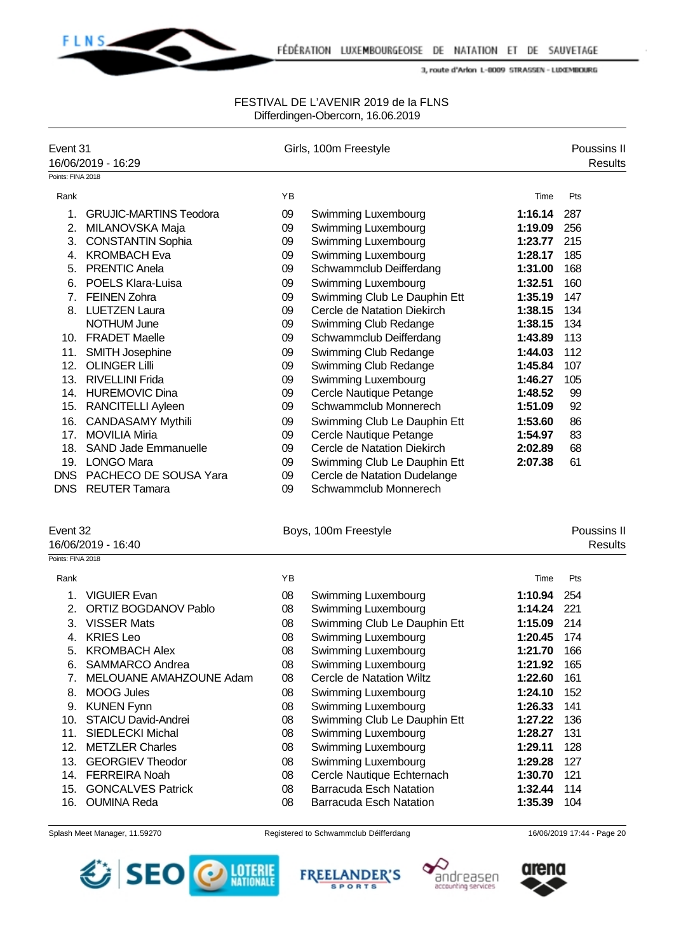

### FESTIVAL DE L'AVENIR 2019 de la FLNS Differdingen-Obercorn, 16.06.2019

| Event 31                      | 16/06/2019 - 16:29            |    | Girls, 100m Freestyle          |             | Poussins II<br><b>Results</b> |
|-------------------------------|-------------------------------|----|--------------------------------|-------------|-------------------------------|
| Points: FINA 2018             |                               |    |                                |             |                               |
| Rank                          |                               | ΥB |                                | Time        | Pts                           |
| 1.                            | <b>GRUJIC-MARTINS Teodora</b> | 09 | Swimming Luxembourg            | 1:16.14     | 287                           |
| 2.                            | MILANOVSKA Maja               | 09 | Swimming Luxembourg            | 1:19.09     | 256                           |
|                               | 3. CONSTANTIN Sophia          | 09 | Swimming Luxembourg            | 1:23.77     | 215                           |
|                               | 4. KROMBACH Eva               | 09 | Swimming Luxembourg            | 1:28.17     | 185                           |
|                               | 5. PRENTIC Anela              | 09 | Schwammclub Deifferdang        | 1:31.00     | 168                           |
| 6.                            | <b>POELS Klara-Luisa</b>      | 09 | Swimming Luxembourg            | 1:32.51     | 160                           |
|                               | 7. FEINEN Zohra               | 09 | Swimming Club Le Dauphin Ett   | 1:35.19     | 147                           |
|                               | 8. LUETZEN Laura              | 09 | Cercle de Natation Diekirch    | 1:38.15     | 134                           |
|                               | NOTHUM June                   | 09 | Swimming Club Redange          | 1:38.15     | 134                           |
|                               | 10. FRADET Maelle             | 09 | Schwammclub Deifferdang        | 1:43.89     | 113                           |
| 11.                           | <b>SMITH Josephine</b>        | 09 | Swimming Club Redange          | 1:44.03     | 112                           |
| 12.                           | <b>OLINGER Lilli</b>          | 09 | Swimming Club Redange          | 1:45.84     | 107                           |
|                               | 13. RIVELLINI Frida           | 09 | Swimming Luxembourg            | 1:46.27     | 105                           |
|                               | 14. HUREMOVIC Dina            | 09 | Cercle Nautique Petange        | 1:48.52     | 99                            |
|                               | 15. RANCITELLI Ayleen         | 09 | Schwammclub Monnerech          | 1:51.09     | 92                            |
|                               | 16. CANDASAMY Mythili         | 09 | Swimming Club Le Dauphin Ett   | 1:53.60     | 86                            |
| 17.                           | <b>MOVILIA Miria</b>          | 09 | Cercle Nautique Petange        | 1:54.97     | 83                            |
| 18.                           | <b>SAND Jade Emmanuelle</b>   | 09 | Cercle de Natation Diekirch    | 2:02.89     | 68                            |
|                               | 19. LONGO Mara                | 09 | Swimming Club Le Dauphin Ett   | 2:07.38     | 61                            |
|                               | DNS PACHECO DE SOUSA Yara     | 09 | Cercle de Natation Dudelange   |             |                               |
|                               | DNS REUTER Tamara             | 09 | Schwammclub Monnerech          |             |                               |
| Event 32<br>Points: FINA 2018 | 16/06/2019 - 16:40            |    | Boys, 100m Freestyle           |             | Poussins II<br><b>Results</b> |
| Rank                          |                               | YB |                                | Time        | Pts                           |
| 1.                            | <b>VIGUIER Evan</b>           | 08 | Swimming Luxembourg            | 1:10.94     | 254                           |
| 2.                            | <b>ORTIZ BOGDANOV Pablo</b>   | 08 | Swimming Luxembourg            | 1:14.24     | 221                           |
| 3.                            | <b>VISSER Mats</b>            | 08 | Swimming Club Le Dauphin Ett   | 1:15.09 214 |                               |
| 4.                            | <b>KRIES Leo</b>              | 08 | Swimming Luxembourg            | 1:20.45     | 174                           |
| 5.                            | <b>KROMBACH Alex</b>          | 08 | Swimming Luxembourg            | 1:21.70     | 166                           |
| 6.                            | SAMMARCO Andrea               | 08 | Swimming Luxembourg            | 1:21.92     | 165                           |
| 7.                            | MELOUANE AMAHZOUNE Adam       | 08 | Cercle de Natation Wiltz       | 1:22.60     | 161                           |
| 8.                            | <b>MOOG Jules</b>             | 08 | Swimming Luxembourg            | 1:24.10     | 152                           |
| 9.                            | <b>KUNEN Fynn</b>             | 08 | Swimming Luxembourg            | 1:26.33     | 141                           |
| 10.                           | <b>STAICU David-Andrei</b>    | 08 | Swimming Club Le Dauphin Ett   | 1:27.22     | 136                           |
| 11.                           | <b>SIEDLECKI Michal</b>       | 08 | Swimming Luxembourg            | 1:28.27     | 131                           |
| 12.                           | <b>METZLER Charles</b>        | 08 | Swimming Luxembourg            | 1:29.11     | 128                           |
| 13.                           | <b>GEORGIEV Theodor</b>       | 08 | Swimming Luxembourg            | 1:29.28     | 127                           |
|                               | 14. FERREIRA Noah             | 08 | Cercle Nautique Echternach     | 1:30.70     | 121                           |
| 15.                           | <b>GONCALVES Patrick</b>      | 08 | <b>Barracuda Esch Natation</b> | 1:32.44     | 114                           |
|                               | 16. OUMINA Reda               | 08 | <b>Barracuda Esch Natation</b> | 1:35.39     | 104                           |
|                               |                               |    |                                |             |                               |







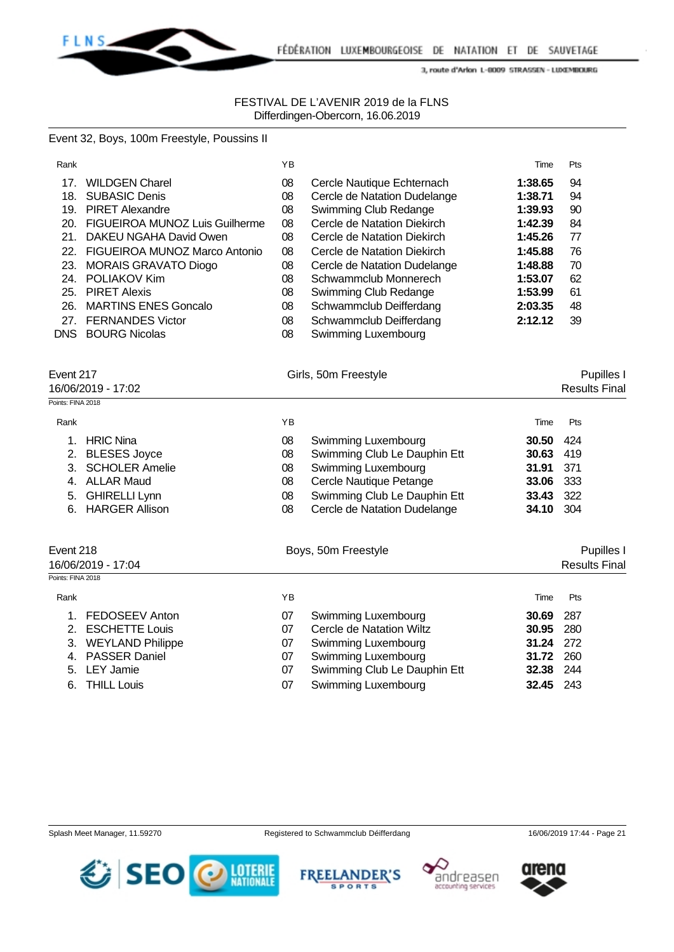

### FESTIVAL DE L'AVENIR 2019 de la FLNS Differdingen-Obercorn, 16.06.2019

### Event 32, Boys, 100m Freestyle, Poussins II

| Rank              |                                | YB |                              | Time    | Pts                  |
|-------------------|--------------------------------|----|------------------------------|---------|----------------------|
| 17.               | <b>WILDGEN Charel</b>          | 08 | Cercle Nautique Echternach   | 1:38.65 | 94                   |
| 18.               | <b>SUBASIC Denis</b>           | 08 | Cercle de Natation Dudelange | 1:38.71 | 94                   |
| 19.               | <b>PIRET Alexandre</b>         | 08 | Swimming Club Redange        | 1:39.93 | 90                   |
| 20.               | FIGUEIROA MUNOZ Luis Guilherme | 08 | Cercle de Natation Diekirch  | 1:42.39 | 84                   |
| 21.               | DAKEU NGAHA David Owen         | 08 | Cercle de Natation Diekirch  | 1:45.26 | 77                   |
| 22.               | FIGUEIROA MUNOZ Marco Antonio  | 08 | Cercle de Natation Diekirch  | 1:45.88 | 76                   |
| 23.               | <b>MORAIS GRAVATO Diogo</b>    | 08 | Cercle de Natation Dudelange | 1:48.88 | 70                   |
| 24.               | POLIAKOV Kim                   | 08 | Schwammclub Monnerech        | 1:53.07 | 62                   |
| 25.               | <b>PIRET Alexis</b>            | 08 | Swimming Club Redange        | 1:53.99 | 61                   |
| 26.               | <b>MARTINS ENES Goncalo</b>    | 08 | Schwammclub Deifferdang      | 2:03.35 | 48                   |
| 27.               | <b>FERNANDES Victor</b>        | 08 | Schwammclub Deifferdang      | 2:12.12 | 39                   |
| DNS.              | <b>BOURG Nicolas</b>           | 08 | Swimming Luxembourg          |         |                      |
| Event 217         |                                |    | Girls, 50m Freestyle         |         | Pupilles             |
|                   | 16/06/2019 - 17:02             |    |                              |         | <b>Results Final</b> |
| Points: FINA 2018 |                                |    |                              |         |                      |
| Rank              |                                | YB |                              | Time    | Pts                  |

| 1. HRIC Nina      | 08 | Swimming Luxembourg          | <b>30.50</b> 424 |  |
|-------------------|----|------------------------------|------------------|--|
| 2. BLESES Joyce   | 08 | Swimming Club Le Dauphin Ett | 30.63 419        |  |
| 3. SCHOLER Amelie | 08 | Swimming Luxembourg          | 31.91 371        |  |
| 4. ALLAR Maud     | 08 | Cercle Nautique Petange      | <b>33.06</b> 333 |  |
| 5. GHIRELLI Lynn  | 08 | Swimming Club Le Dauphin Ett | 33.43 322        |  |
| 6. HARGER Allison | 08 | Cercle de Natation Dudelange | <b>34.10</b> 304 |  |
|                   |    |                              |                  |  |
|                   |    |                              |                  |  |

| Event 218           | Boys, 50m Freestyle |                          | Pupilles I       |                      |  |
|---------------------|---------------------|--------------------------|------------------|----------------------|--|
| 16/06/2019 - 17:04  |                     |                          |                  | <b>Results Final</b> |  |
| Points: FINA 2018   |                     |                          |                  |                      |  |
| Rank                | ΥB                  |                          | Time             | Pts                  |  |
| 1. FEDOSEEV Anton   | 07                  | Swimming Luxembourg      | 30.69            | - 287                |  |
| 2. ESCHETTE Louis   | 07                  | Cercle de Natation Wiltz | <b>30.95</b> 280 |                      |  |
| 3. WEYLAND Philippe | 07                  | Swimming Luxembourg      | 31.24 272        |                      |  |
| 4. PASSER Daniel    | 07                  | Swimming Luxembourg      | 31.72            | - 260                |  |

| 4. PASSER Daniel | 07 Swimming Luxembourg       | 31.72 260 |  |
|------------------|------------------------------|-----------|--|
| 5. LEY Jamie     | Swimming Club Le Dauphin Ett | 32.38 244 |  |

- 6. THILL Louis 07 Swimming Luxembourg **32.45** 243
	-









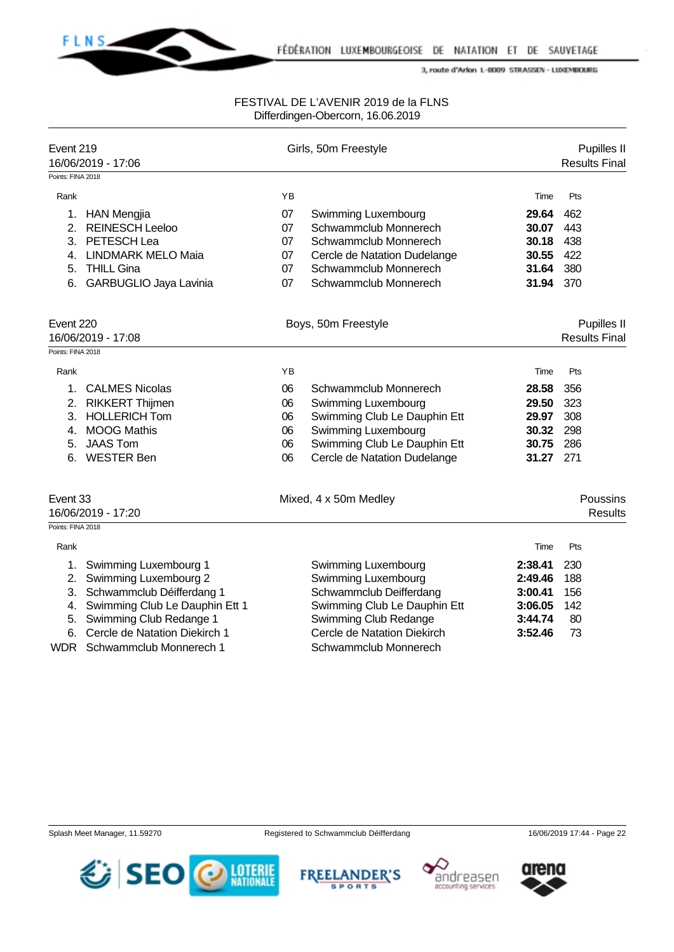

| Event 219                                           | 16/06/2019 - 17:06             |                     | Girls, 50m Freestyle         |                                     | Pupilles II<br><b>Results Final</b> |  |
|-----------------------------------------------------|--------------------------------|---------------------|------------------------------|-------------------------------------|-------------------------------------|--|
| Points: FINA 2018                                   |                                |                     |                              |                                     |                                     |  |
| Rank                                                |                                | YB                  |                              | Time                                | Pts                                 |  |
| 1.                                                  | <b>HAN Mengjia</b>             | 07                  | Swimming Luxembourg          | 29.64                               | 462                                 |  |
| 2.                                                  | <b>REINESCH Leeloo</b>         | 07                  | Schwammclub Monnerech        | 30.07                               | 443                                 |  |
| 3.                                                  | PETESCH Lea                    | 07                  | Schwammclub Monnerech        | 30.18                               | 438                                 |  |
| 4.                                                  | <b>LINDMARK MELO Maia</b>      | 07                  | Cercle de Natation Dudelange | 30.55                               | 422                                 |  |
| 5.                                                  | <b>THILL Gina</b>              | 07                  | Schwammclub Monnerech        | 31.64                               | 380                                 |  |
| 6.                                                  | GARBUGLIO Jaya Lavinia         | 07                  | Schwammclub Monnerech        | 31.94                               | 370                                 |  |
| Event 220<br>16/06/2019 - 17:08                     |                                | Boys, 50m Freestyle |                              | Pupilles II<br><b>Results Final</b> |                                     |  |
| Points: FINA 2018                                   |                                |                     |                              |                                     |                                     |  |
| Rank                                                |                                | YB                  |                              | Time                                | Pts                                 |  |
| 1.                                                  | <b>CALMES Nicolas</b>          | 06                  | Schwammclub Monnerech        | 28.58                               | 356                                 |  |
| 2.                                                  | <b>RIKKERT Thijmen</b>         | 06                  | Swimming Luxembourg          | 29.50                               | 323                                 |  |
|                                                     | 3. HOLLERICH Tom               | 06                  | Swimming Club Le Dauphin Ett | 29.97                               | 308                                 |  |
| 4.                                                  | <b>MOOG Mathis</b>             | 06                  | Swimming Luxembourg          | 30.32                               | 298                                 |  |
| 5.                                                  | <b>JAAS Tom</b>                | 06                  | Swimming Club Le Dauphin Ett | 30.75                               | 286                                 |  |
| 6.                                                  | <b>WESTER Ben</b>              | 06                  | Cercle de Natation Dudelange | 31.27                               | 271                                 |  |
| Event 33<br>16/06/2019 - 17:20<br>Points: FINA 2018 |                                |                     | Mixed, 4 x 50m Medley        |                                     | Poussins<br><b>Results</b>          |  |
| Rank                                                |                                |                     |                              | Time                                | Pts                                 |  |
| 1.                                                  | Swimming Luxembourg 1          |                     | Swimming Luxembourg          | 2:38.41                             | 230                                 |  |
| 2.                                                  | Swimming Luxembourg 2          |                     | Swimming Luxembourg          | 2:49.46                             | 188                                 |  |
| 3.                                                  | Schwammclub Déifferdang 1      |                     | Schwammclub Deifferdang      | 3:00.41                             | 156                                 |  |
| 4.                                                  | Swimming Club Le Dauphin Ett 1 |                     | Swimming Club Le Dauphin Ett | 3:06.05                             | 142                                 |  |
| 5.                                                  | Swimming Club Redange 1        |                     | Swimming Club Redange        | 3:44.74                             | 80                                  |  |
| 6.                                                  | Cercle de Natation Diekirch 1  |                     | Cercle de Natation Diekirch  | 3:52.46                             | 73                                  |  |
| <b>WDR</b>                                          | Schwammclub Monnerech 1        |                     | Schwammclub Monnerech        |                                     |                                     |  |